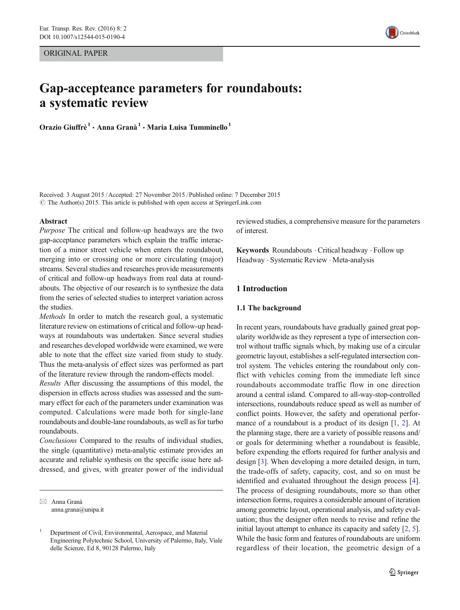ORIGINAL PAPER

# Gap-accepteance parameters for roundabouts: a systematic review

Orazio Giuffrè<sup>1</sup> · Anna Granà<sup>1</sup> · Maria Luisa Tumminello<sup>1</sup>

Received: 3 August 2015 /Accepted: 27 November 2015 / Published online: 7 December 2015  $\odot$  The Author(s) 2015. This article is published with open access at SpringerLink.com

#### Abstract

Purpose The critical and follow-up headways are the two gap-acceptance parameters which explain the traffic interaction of a minor street vehicle when enters the roundabout, merging into or crossing one or more circulating (major) streams. Several studies and researches provide measurements of critical and follow-up headways from real data at roundabouts. The objective of our research is to synthesize the data from the series of selected studies to interpret variation across the studies.

Methods In order to match the research goal, a systematic literature review on estimations of critical and follow-up headways at roundabouts was undertaken. Since several studies and researches developed worldwide were examined, we were able to note that the effect size varied from study to study. Thus the meta-analysis of effect sizes was performed as part of the literature review through the random-effects model.

Results After discussing the assumptions of this model, the dispersion in effects across studies was assessed and the summary effect for each of the parameters under examination was computed. Calculations were made both for single-lane roundabouts and double-lane roundabouts, as well as for turbo roundabouts.

Conclusions Compared to the results of individual studies, the single (quantitative) meta-analytic estimate provides an accurate and reliable synthesis on the specific issue here addressed, and gives, with greater power of the individual

 $\boxtimes$  Anna Granà anna.grana@unipa.it reviewed studies, a comprehensive measure for the parameters of interest.

Keywords Roundabouts  $\cdot$  Critical headway  $\cdot$  Follow up Headway . Systematic Review . Meta-analysis

## 1 Introduction

#### 1.1 The background

In recent years, roundabouts have gradually gained great popularity worldwide as they represent a type of intersection control without traffic signals which, by making use of a circular geometric layout, establishes a self-regulated intersection control system. The vehicles entering the roundabout only conflict with vehicles coming from the immediate left since roundabouts accommodate traffic flow in one direction around a central island. Compared to all-way-stop-controlled intersections, roundabouts reduce speed as well as number of conflict points. However, the safety and operational performance of a roundabout is a product of its design [[1](#page-17-0), [2](#page-17-0)]. At the planning stage, there are a variety of possible reasons and/ or goals for determining whether a roundabout is feasible, before expending the efforts required for further analysis and design [\[3](#page-17-0)]. When developing a more detailed design, in turn, the trade-offs of safety, capacity, cost, and so on must be identified and evaluated throughout the design process [[4\]](#page-17-0). The process of designing roundabouts, more so than other intersection forms, requires a considerable amount of iteration among geometric layout, operational analysis, and safety evaluation; thus the designer often needs to revise and refine the initial layout attempt to enhance its capacity and safety [\[2,](#page-17-0) [5\]](#page-17-0). While the basic form and features of roundabouts are uniform regardless of their location, the geometric design of a



<sup>1</sup> Department of Civil, Environmental, Aerospace, and Material Engineering Polytechnic School, University of Palermo, Italy, Viale delle Scienze, Ed 8, 90128 Palermo, Italy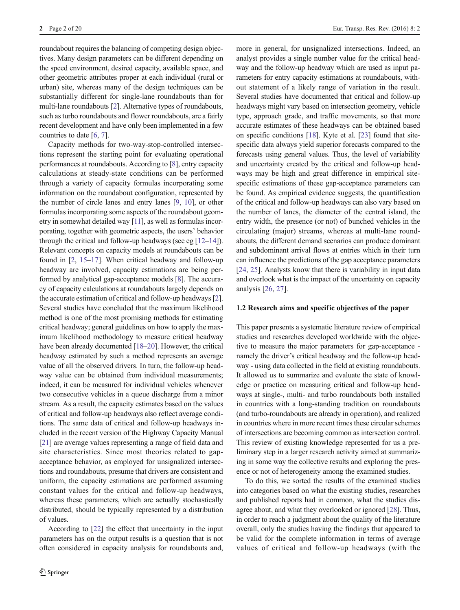roundabout requires the balancing of competing design objectives. Many design parameters can be different depending on the speed environment, desired capacity, available space, and other geometric attributes proper at each individual (rural or urban) site, whereas many of the design techniques can be substantially different for single-lane roundabouts than for multi-lane roundabouts [[2](#page-17-0)]. Alternative types of roundabouts, such as turbo roundabouts and flower roundabouts, are a fairly recent development and have only been implemented in a few countries to date [\[6,](#page-17-0) [7\]](#page-17-0).

Capacity methods for two-way-stop-controlled intersections represent the starting point for evaluating operational performances at roundabouts. According to [[8\]](#page-17-0), entry capacity calculations at steady-state conditions can be performed through a variety of capacity formulas incorporating some information on the roundabout configuration, represented by the number of circle lanes and entry lanes [[9](#page-17-0), [10](#page-17-0)], or other formulas incorporating some aspects of the roundabout geometry in somewhat detailed way [\[11\]](#page-17-0), as well as formulas incorporating, together with geometric aspects, the users' behavior through the critical and follow-up headways (see eg  $[12-14]$  $[12-14]$  $[12-14]$  $[12-14]$  $[12-14]$ ). Relevant concepts on capacity models at roundabouts can be found in [[2,](#page-17-0) [15](#page-17-0)–[17\]](#page-17-0). When critical headway and follow-up headway are involved, capacity estimations are being performed by analytical gap-acceptance models [[8\]](#page-17-0). The accuracy of capacity calculations at roundabouts largely depends on the accurate estimation of critical and follow-up headways [[2\]](#page-17-0). Several studies have concluded that the maximum likelihood method is one of the most promising methods for estimating critical headway; general guidelines on how to apply the maximum likelihood methodology to measure critical headway have been already documented [\[18](#page-17-0)–[20\]](#page-17-0). However, the critical headway estimated by such a method represents an average value of all the observed drivers. In turn, the follow-up headway value can be obtained from individual measurements; indeed, it can be measured for individual vehicles whenever two consecutive vehicles in a queue discharge from a minor stream. As a result, the capacity estimates based on the values of critical and follow-up headways also reflect average conditions. The same data of critical and follow-up headways included in the recent version of the Highway Capacity Manual [\[21\]](#page-17-0) are average values representing a range of field data and site characteristics. Since most theories related to gapacceptance behavior, as employed for unsignalized intersections and roundabouts, presume that drivers are consistent and uniform, the capacity estimations are performed assuming constant values for the critical and follow-up headways, whereas these parameters, which are actually stochastically distributed, should be typically represented by a distribution of values.

According to [\[22\]](#page-17-0) the effect that uncertainty in the input parameters has on the output results is a question that is not often considered in capacity analysis for roundabouts and, more in general, for unsignalized intersections. Indeed, an analyst provides a single number value for the critical headway and the follow-up headway which are used as input parameters for entry capacity estimations at roundabouts, without statement of a likely range of variation in the result. Several studies have documented that critical and follow-up headways might vary based on intersection geometry, vehicle type, approach grade, and traffic movements, so that more accurate estimates of these headways can be obtained based on specific conditions [[18](#page-17-0)]. Kyte et al. [\[23\]](#page-17-0) found that sitespecific data always yield superior forecasts compared to the forecasts using general values. Thus, the level of variability and uncertainty created by the critical and follow-up headways may be high and great difference in empirical sitespecific estimations of these gap-acceptance parameters can be found. As empirical evidence suggests, the quantification of the critical and follow-up headways can also vary based on the number of lanes, the diameter of the central island, the entry width, the presence (or not) of bunched vehicles in the circulating (major) streams, whereas at multi-lane roundabouts, the different demand scenarios can produce dominant and subdominant arrival flows at entries which in their turn can influence the predictions of the gap acceptance parameters [\[24,](#page-17-0) [25](#page-17-0)]. Analysts know that there is variability in input data and overlook what is the impact of the uncertainty on capacity analysis [\[26,](#page-17-0) [27\]](#page-17-0).

#### 1.2 Research aims and specific objectives of the paper

This paper presents a systematic literature review of empirical studies and researches developed worldwide with the objective to measure the major parameters for gap-acceptance namely the driver's critical headway and the follow-up headway - using data collected in the field at existing roundabouts. It allowed us to summarize and evaluate the state of knowledge or practice on measuring critical and follow-up headways at single-, multi- and turbo roundabouts both installed in countries with a long-standing tradition on roundabouts (and turbo-roundabouts are already in operation), and realized in countries where in more recent times these circular schemes of intersections are becoming common as intersection control. This review of existing knowledge represented for us a preliminary step in a larger research activity aimed at summarizing in some way the collective results and exploring the presence or not of heterogeneity among the examined studies.

To do this, we sorted the results of the examined studies into categories based on what the existing studies, researches and published reports had in common, what the studies disagree about, and what they overlooked or ignored [[28](#page-17-0)]. Thus, in order to reach a judgment about the quality of the literature overall, only the studies having the findings that appeared to be valid for the complete information in terms of average values of critical and follow-up headways (with the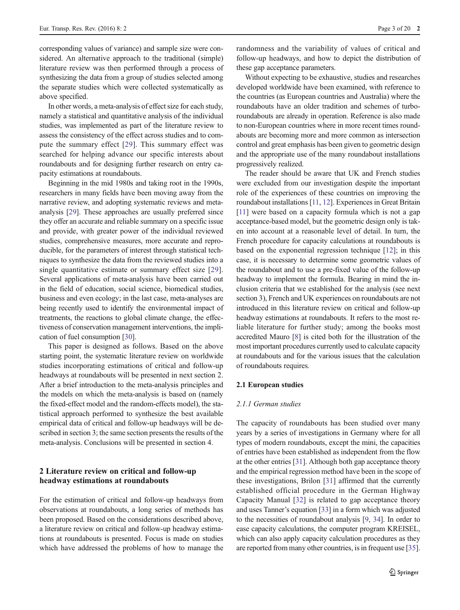corresponding values of variance) and sample size were considered. An alternative approach to the traditional (simple) literature review was then performed through a process of synthesizing the data from a group of studies selected among the separate studies which were collected systematically as above specified.

In other words, a meta-analysis of effect size for each study, namely a statistical and quantitative analysis of the individual studies, was implemented as part of the literature review to assess the consistency of the effect across studies and to compute the summary effect [[29](#page-17-0)]. This summary effect was searched for helping advance our specific interests about roundabouts and for designing further research on entry capacity estimations at roundabouts.

Beginning in the mid 1980s and taking root in the 1990s, researchers in many fields have been moving away from the narrative review, and adopting systematic reviews and metaanalysis [\[29\]](#page-17-0). These approaches are usually preferred since they offer an accurate and reliable summary on a specific issue and provide, with greater power of the individual reviewed studies, comprehensive measures, more accurate and reproducible, for the parameters of interest through statistical techniques to synthesize the data from the reviewed studies into a single quantitative estimate or summary effect size [[29](#page-17-0)]. Several applications of meta-analysis have been carried out in the field of education, social science, biomedical studies, business and even ecology; in the last case, meta-analyses are being recently used to identify the environmental impact of treatments, the reactions to global climate change, the effectiveness of conservation management interventions, the implication of fuel consumption [\[30](#page-17-0)].

This paper is designed as follows. Based on the above starting point, the systematic literature review on worldwide studies incorporating estimations of critical and follow-up headways at roundabouts will be presented in next section 2. After a brief introduction to the meta-analysis principles and the models on which the meta-analysis is based on (namely the fixed-effect model and the random-effects model), the statistical approach performed to synthesize the best available empirical data of critical and follow-up headways will be described in section 3; the same section presents the results of the meta-analysis. Conclusions will be presented in section 4.

## 2 Literature review on critical and follow-up headway estimations at roundabouts

For the estimation of critical and follow-up headways from observations at roundabouts, a long series of methods has been proposed. Based on the considerations described above, a literature review on critical and follow-up headway estimations at roundabouts is presented. Focus is made on studies which have addressed the problems of how to manage the randomness and the variability of values of critical and follow-up headways, and how to depict the distribution of these gap acceptance parameters.

Without expecting to be exhaustive, studies and researches developed worldwide have been examined, with reference to the countries (as European countries and Australia) where the roundabouts have an older tradition and schemes of turboroundabouts are already in operation. Reference is also made to non-European countries where in more recent times roundabouts are becoming more and more common as intersection control and great emphasis has been given to geometric design and the appropriate use of the many roundabout installations progressively realized.

The reader should be aware that UK and French studies were excluded from our investigation despite the important role of the experiences of these countries on improving the roundabout installations [\[11](#page-17-0), [12\]](#page-17-0). Experiences in Great Britain [\[11\]](#page-17-0) were based on a capacity formula which is not a gap acceptance-based model, but the geometric design only is taken into account at a reasonable level of detail. In turn, the French procedure for capacity calculations at roundabouts is based on the exponential regression technique [\[12](#page-17-0)]; in this case, it is necessary to determine some geometric values of the roundabout and to use a pre-fixed value of the follow-up headway to implement the formula. Bearing in mind the inclusion criteria that we established for the analysis (see next section 3), French and UK experiences on roundabouts are not introduced in this literature review on critical and follow-up headway estimations at roundabouts. It refers to the most reliable literature for further study; among the books most accredited Mauro [[8\]](#page-17-0) is cited both for the illustration of the most important procedures currently used to calculate capacity at roundabouts and for the various issues that the calculation of roundabouts requires.

#### 2.1 European studies

#### 2.1.1 German studies

The capacity of roundabouts has been studied over many years by a series of investigations in Germany where for all types of modern roundabouts, except the mini, the capacities of entries have been established as independent from the flow at the other entries [\[31](#page-17-0)]. Although both gap acceptance theory and the empirical regression method have been in the scope of these investigations, Brilon [[31\]](#page-17-0) affirmed that the currently established official procedure in the German Highway Capacity Manual [[32](#page-17-0)] is related to gap acceptance theory and uses Tanner's equation [[33\]](#page-17-0) in a form which was adjusted to the necessities of roundabout analysis [[9](#page-17-0), [34\]](#page-17-0). In order to ease capacity calculations, the computer program KREISEL, which can also apply capacity calculation procedures as they are reported from many other countries, is in frequent use [[35\]](#page-18-0).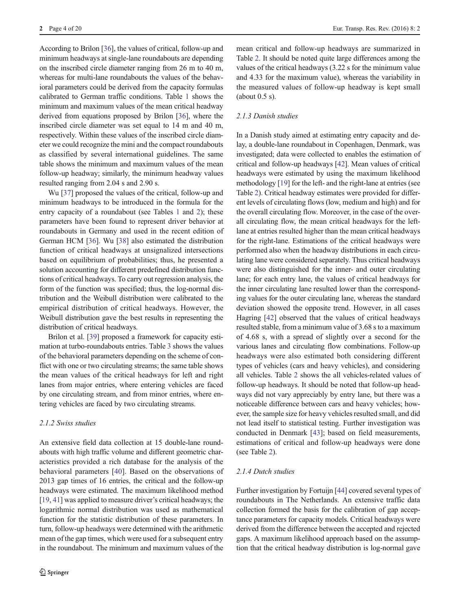According to Brilon [\[36](#page-18-0)], the values of critical, follow-up and minimum headways at single-lane roundabouts are depending on the inscribed circle diameter ranging from 26 m to 40 m, whereas for multi-lane roundabouts the values of the behavioral parameters could be derived from the capacity formulas calibrated to German traffic conditions. Table [1](#page-4-0) shows the minimum and maximum values of the mean critical headway derived from equations proposed by Brilon [\[36\]](#page-18-0), where the inscribed circle diameter was set equal to 14 m and 40 m, respectively. Within these values of the inscribed circle diameter we could recognize the mini and the compact roundabouts as classified by several international guidelines. The same table shows the minimum and maximum values of the mean follow-up headway; similarly, the minimum headway values resulted ranging from 2.04 s and 2.90 s.

Wu [\[37\]](#page-18-0) proposed the values of the critical, follow-up and minimum headways to be introduced in the formula for the entry capacity of a roundabout (see Tables [1](#page-4-0) and [2](#page-5-0)); these parameters have been found to represent driver behavior at roundabouts in Germany and used in the recent edition of German HCM [[36](#page-18-0)]. Wu [[38\]](#page-18-0) also estimated the distribution function of critical headways at unsignalized intersections based on equilibrium of probabilities; thus, he presented a solution accounting for different predefined distribution functions of critical headways. To carry out regression analysis, the form of the function was specified; thus, the log-normal distribution and the Weibull distribution were calibrated to the empirical distribution of critical headways. However, the Weibull distribution gave the best results in representing the distribution of critical headways.

Brilon et al. [[39](#page-18-0)] proposed a framework for capacity estimation at turbo-roundabouts entries. Table [3](#page-6-0) shows the values of the behavioral parameters depending on the scheme of conflict with one or two circulating streams; the same table shows the mean values of the critical headways for left and right lanes from major entries, where entering vehicles are faced by one circulating stream, and from minor entries, where entering vehicles are faced by two circulating streams.

#### 2.1.2 Swiss studies

An extensive field data collection at 15 double-lane roundabouts with high traffic volume and different geometric characteristics provided a rich database for the analysis of the behavioral parameters [[40](#page-18-0)]. Based on the observations of 2013 gap times of 16 entries, the critical and the follow-up headways were estimated. The maximum likelihood method [\[19,](#page-17-0) [41](#page-18-0)] was applied to measure driver's critical headways; the logarithmic normal distribution was used as mathematical function for the statistic distribution of these parameters. In turn, follow-up headways were determined with the arithmetic mean of the gap times, which were used for a subsequent entry in the roundabout. The minimum and maximum values of the mean critical and follow-up headways are summarized in Table [2](#page-5-0). It should be noted quite large differences among the values of the critical headways (3.22 s for the minimum value and 4.33 for the maximum value), whereas the variability in the measured values of follow-up headway is kept small (about 0.5 s).

## 2.1.3 Danish studies

In a Danish study aimed at estimating entry capacity and delay, a double-lane roundabout in Copenhagen, Denmark, was investigated; data were collected to enables the estimation of critical and follow-up headways [[42\]](#page-18-0). Mean values of critical headways were estimated by using the maximum likelihood methodology [[19](#page-17-0)] for the left- and the right-lane at entries (see Table [2\)](#page-5-0). Critical headway estimates were provided for different levels of circulating flows (low, medium and high) and for the overall circulating flow. Moreover, in the case of the overall circulating flow, the mean critical headways for the leftlane at entries resulted higher than the mean critical headways for the right-lane. Estimations of the critical headways were performed also when the headway distributions in each circulating lane were considered separately. Thus critical headways were also distinguished for the inner- and outer circulating lane; for each entry lane, the values of critical headways for the inner circulating lane resulted lower than the corresponding values for the outer circulating lane, whereas the standard deviation showed the opposite trend. However, in all cases Hagring [\[42\]](#page-18-0) observed that the values of critical headways resulted stable, from a minimum value of 3.68 s to a maximum of 4.68 s, with a spread of slightly over a second for the various lanes and circulating flow combinations. Follow-up headways were also estimated both considering different types of vehicles (cars and heavy vehicles), and considering all vehicles. Table [2](#page-5-0) shows the all vehicles-related values of follow-up headways. It should be noted that follow-up headways did not vary appreciably by entry lane, but there was a noticeable difference between cars and heavy vehicles; however, the sample size for heavy vehicles resulted small, and did not lead itself to statistical testing. Further investigation was conducted in Denmark [\[43\]](#page-18-0); based on field measurements, estimations of critical and follow-up headways were done (see Table [2](#page-5-0)).

## 2.1.4 Dutch studies

Further investigation by Fortuijn [[44](#page-18-0)] covered several types of roundabouts in The Netherlands. An extensive traffic data collection formed the basis for the calibration of gap acceptance parameters for capacity models. Critical headways were derived from the difference between the accepted and rejected gaps. A maximum likelihood approach based on the assumption that the critical headway distribution is log-normal gave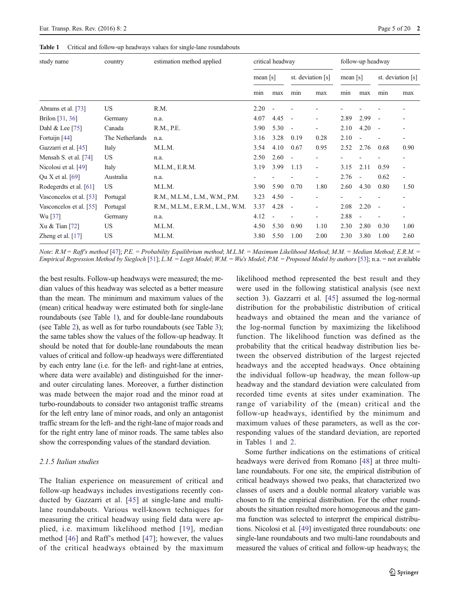#### <span id="page-4-0"></span>Table 1 Critical and follow-up headways values for single-lane roundabouts

| study name              | country         | estimation method applied        | critical headway |                          |                          |                          | follow-up headway |                          |        |                              |  |
|-------------------------|-----------------|----------------------------------|------------------|--------------------------|--------------------------|--------------------------|-------------------|--------------------------|--------|------------------------------|--|
|                         |                 |                                  |                  | mean $[s]$               |                          | st. deviation [s]        |                   | mean $[s]$               |        | st. deviation [s]            |  |
|                         |                 |                                  | min              | max                      | min                      | max                      | min               | max                      | min    | max                          |  |
| Abrams et al. [73]      | US.             | R.M.                             | 2.20             |                          |                          |                          |                   |                          |        |                              |  |
| Brilon [31, 36]         | Germany         | n.a.                             | 4.07             | 4.45                     | $\sim$                   | $\qquad \qquad -$        | 2.89              | 2.99                     | $\sim$ |                              |  |
| Dahl & Lee $[75]$       | Canada          | R.M., P.E.                       | 3.90             | 5.30                     | $\overline{\phantom{a}}$ | $\overline{\phantom{m}}$ | 2.10              | 4.20                     | $\sim$ |                              |  |
| Fortuijn [44]           | The Netherlands | n.a.                             | 3.16             | 3.28                     | 0.19                     | 0.28                     | 2.10              |                          |        | $\qquad \qquad \blacksquare$ |  |
| Gazzarri et al. [45]    | Italy           | M.L.M.                           | 3.54             | 4.10                     | 0.67                     | 0.95                     | 2.52              | 2.76                     | 0.68   | 0.90                         |  |
| Mensah S. et al. [74]   | <b>US</b>       | n.a.                             | 2.50             | 2.60                     |                          | ٠                        |                   |                          |        |                              |  |
| Nicolosi et al. [49]    | Italy           | M.L.M., E.R.M.                   | 3.19             | 3.99                     | 1.13                     | ٠                        | 3.15              | 2.11                     | 0.59   | ٠                            |  |
| Qu X et al. $[69]$      | Australia       | n.a.                             |                  |                          |                          | $\overline{\phantom{0}}$ | 2.76              | $\overline{\phantom{a}}$ | 0.62   | $\overline{a}$               |  |
| Rodegerdts et al. [61]  | <b>US</b>       | M.L.M.                           | 3.90             | 5.90                     | 0.70                     | 1.80                     | 2.60              | 4.30                     | 0.80   | 1.50                         |  |
| Vasconcelos et al. [53] | Portugal        | R.M., M.L.M., L.M., W.M., P.M.   | 3.23             | 4.50                     | ÷,                       | ۰                        |                   |                          |        |                              |  |
| Vasconcelos et al. [55] | Portugal        | R.M., M.L.M., E.R.M., L.M., W.M. | 3.37             | 4.28                     | $\overline{\phantom{a}}$ | $\overline{\phantom{a}}$ | 2.08              | 2.20                     | $\sim$ | ۰                            |  |
| Wu [37]                 | Germany         | n.a.                             | 4.12             | $\overline{\phantom{a}}$ |                          | $\overline{\phantom{a}}$ | 2.88              |                          |        | ۰                            |  |
| Xu & Tian [72]          | <b>US</b>       | M.L.M.                           | 4.50             | 5.30                     | 0.90                     | 1.10                     | 2.30              | 2.80                     | 0.30   | 1.00                         |  |
| Zheng et al. $[17]$     | US              | M.L.M.                           | 3.80             | 5.50                     | 1.00                     | 2.00                     | 2.30              | 3.80                     | 1.00   | 2.60                         |  |

Note: R.M = Raff's method [\[47](#page-18-0)]; P.E. = Probability Equilibrium method; M.L.M. = Maximum Likelihood Method; M.M. = Median Method; E.R.M. = Empirical Regression Method by Siegloch [[51](#page-18-0)]; L.M. = Logit Model; W.M. = Wu's Model; P.M. = Proposed Model by authors [\[53\]](#page-18-0); n.a. = not available

the best results. Follow-up headways were measured; the median values of this headway was selected as a better measure than the mean. The minimum and maximum values of the (mean) critical headway were estimated both for single-lane roundabouts (see Table 1), and for double-lane roundabouts (see Table [2](#page-5-0)), as well as for turbo roundabouts (see Table [3](#page-6-0)); the same tables show the values of the follow-up headway. It should be noted that for double-lane roundabouts the mean values of critical and follow-up headways were differentiated by each entry lane (i.e. for the left- and right-lane at entries, where data were available) and distinguished for the innerand outer circulating lanes. Moreover, a further distinction was made between the major road and the minor road at turbo-roundabouts to consider two antagonist traffic streams for the left entry lane of minor roads, and only an antagonist traffic stream for the left- and the right-lane of major roads and for the right entry lane of minor roads. The same tables also show the corresponding values of the standard deviation.

## 2.1.5 Italian studies

The Italian experience on measurement of critical and follow-up headways includes investigations recently conducted by Gazzarri et al. [\[45\]](#page-18-0) at single-lane and multilane roundabouts. Various well-known techniques for measuring the critical headway using field data were applied, i.e. maximum likelihood method [[19\]](#page-17-0), median method [[46](#page-18-0)] and Raff's method [[47](#page-18-0)]; however, the values of the critical headways obtained by the maximum likelihood method represented the best result and they were used in the following statistical analysis (see next section 3). Gazzarri et al. [[45\]](#page-18-0) assumed the log-normal distribution for the probabilistic distribution of critical headways and obtained the mean and the variance of the log-normal function by maximizing the likelihood function. The likelihood function was defined as the probability that the critical headway distribution lies between the observed distribution of the largest rejected headways and the accepted headways. Once obtaining the individual follow-up headway, the mean follow-up headway and the standard deviation were calculated from recorded time events at sites under examination. The range of variability of the (mean) critical and the follow-up headways, identified by the minimum and maximum values of these parameters, as well as the corresponding values of the standard deviation, are reported in Tables 1 and [2](#page-5-0).

Some further indications on the estimations of critical headways were derived from Romano [[48\]](#page-18-0) at three multilane roundabouts. For one site, the empirical distribution of critical headways showed two peaks, that characterized two classes of users and a double normal aleatory variable was chosen to fit the empirical distribution. For the other roundabouts the situation resulted more homogeneous and the gamma function was selected to interpret the empirical distributions. Nicolosi et al. [\[49\]](#page-18-0) investigated three roundabouts: one single-lane roundabouts and two multi-lane roundabouts and measured the values of critical and follow-up headways; the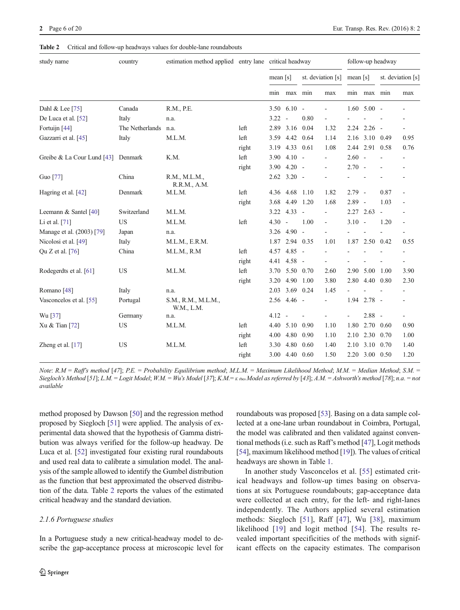| study name                 | country         | estimation method applied entry lane critical headway |       |            |                 |           |                          | follow-up headway |                 |                          |                          |
|----------------------------|-----------------|-------------------------------------------------------|-------|------------|-----------------|-----------|--------------------------|-------------------|-----------------|--------------------------|--------------------------|
|                            |                 |                                                       |       | mean $[s]$ |                 |           | st. deviation [s]        | mean $[s]$        |                 |                          | st. deviation [s]        |
|                            |                 |                                                       |       | min        | max min         |           | max                      | min               | max min         |                          | max                      |
| Dahl & Lee $[75]$          | Canada          | R.M., P.E.                                            |       |            | $3.50$ $6.10$ - |           | $\overline{\phantom{a}}$ |                   | $1.60$ 5.00 -   |                          |                          |
| De Luca et al. [52]        | Italy           | n.a.                                                  |       | 3.22       | $\sim$          | 0.80      | $\blacksquare$           |                   |                 |                          | $\overline{\phantom{a}}$ |
| Fortuijn [44]              | The Netherlands | n.a.                                                  | left  | 2.89       | 3.16            | 0.04      | 1.32                     |                   | $2.24$ $2.26$ - |                          | $\overline{\phantom{a}}$ |
| Gazzarri et al. [45]       | Italy           | M.L.M.                                                | left  | 3.59       | 4.42 0.64       |           | 1.14                     |                   | 2.16 3.10 0.49  |                          | 0.95                     |
|                            |                 |                                                       | right | 3.19       | 4.33 0.61       |           | 1.08                     |                   | 2.44 2.91       | 0.58                     | 0.76                     |
| Greibe & La Cour Lund [43] | Denmark         | K.M.                                                  | left  | 3.90       | $4.10 -$        |           |                          | $2.60 -$          |                 |                          |                          |
|                            |                 |                                                       | right | 3.90       | $4.20 -$        |           | $\overline{\phantom{a}}$ | $2.70 -$          |                 | ٠                        | $\overline{\phantom{a}}$ |
| Guo [77]                   | China           | R.M., M.L.M.,<br>R.R.M., A.M.                         |       | 2.62       | $3.20 -$        |           | ٠                        |                   |                 |                          |                          |
| Hagring et al. [42]        | Denmark         | M.L.M.                                                | left  | 4.36       | 4.68 1.10       |           | 1.82                     | $2.79 -$          |                 | 0.87                     |                          |
|                            |                 |                                                       | right | 3.68       | 4.49            | 1.20      | 1.68                     | $2.89 -$          |                 | 1.03                     | ä,                       |
| Leemann & Santel [40]      | Switzerland     | M.L.M.                                                |       | 3.22       | $4.33 -$        |           | L,                       |                   | 2.27 2.63       | $\overline{\phantom{a}}$ | $\overline{\phantom{a}}$ |
| Li et al. [71]             | US              | M.L.M.                                                | left  | 4.30       | $\sim$          | 1.00      | $\blacksquare$           | 3.10              | $\sim$          | 1.20                     |                          |
| Manage et al. (2003) [79]  | Japan           | n.a.                                                  |       |            | $3.26$ 4.90 -   |           |                          |                   |                 |                          |                          |
| Nicolosi et al. [49]       | Italy           | M.L.M., E.R.M.                                        |       | 1.87       | 2.94 0.35       |           | 1.01                     |                   | 1.87 2.50 0.42  |                          | 0.55                     |
| Qu Z et al. [76]           | China           | M.L.M., R.M                                           | left  | 4.57       | $4.85 -$        |           |                          |                   |                 |                          | $\overline{\phantom{a}}$ |
|                            |                 |                                                       | right | 4.41       | $4.58 -$        |           | $\overline{\phantom{a}}$ |                   |                 |                          | $\overline{\phantom{a}}$ |
| Rodegerdts et al. [61]     | <b>US</b>       | M.L.M.                                                | left  | 3.70       | 5.50 0.70       |           | 2.60                     | 2.90              | 5.00            | 1.00                     | 3.90                     |
|                            |                 |                                                       | right | 3.20       | 4.90            | 1.00      | 3.80                     | 2.80              | 4.40            | 0.80                     | 2.30                     |
| Romano [48]                | Italy           | n.a.                                                  |       | 2.03       |                 | 3.69 0.24 | 1.45                     |                   | L,              | $\overline{\phantom{a}}$ | $\overline{\phantom{a}}$ |
| Vasconcelos et al. [55]    | Portugal        | S.M., R.M., M.L.M.,<br>W.M., L.M.                     |       | 2.56       | $4.46 -$        |           | $\blacksquare$           |                   | 1.94 2.78 -     |                          | $\overline{\phantom{a}}$ |
| Wu [37]                    | Germany         | n.a.                                                  |       | $4.12 -$   |                 |           |                          |                   | $2.88 -$        |                          | ÷,                       |
| Xu & Tian [72]             | <b>US</b>       | M.L.M.                                                | left  | 4.40       | 5.10 0.90       |           | 1.10                     | 1.80              | 2.70            | 0.60                     | 0.90                     |
|                            |                 |                                                       | right | 4.00       | 4.80            | 0.90      | 1.10                     |                   | 2.10 2.30 0.70  |                          | 1.00                     |
| Zheng et al. $[17]$        | <b>US</b>       | M.L.M.                                                | left  | 3.30       | 4.80            | 0.60      | 1.40                     | 2.10              | 3.10            | 0.70                     | 1.40                     |
|                            |                 |                                                       | right | 3.00       | 4.40 0.60       |           | 1.50                     |                   | 2.20 3.00 0.50  |                          | 1.20                     |

<span id="page-5-0"></span>Table 2 Critical and follow-up headways values for double-lane roundabouts

Note: R.M = Raff's method [47]; P.E. = Probability Equilibrium method; M.L.M. = Maximum Likelihood Method; M.M. = Median Method; S.M. = Siegloch's Method [51]; L.M. = Logit Model; W.M. = Wu's Model [37]; K.M. = K rbes Model as referred by [43]; A.M. = Ashworth's method [78]; n.a. = not available

method proposed by Dawson [\[50\]](#page-18-0) and the regression method proposed by Siegloch [\[51](#page-18-0)] were applied. The analysis of experimental data showed that the hypothesis of Gamma distribution was always verified for the follow-up headway. De Luca et al. [\[52\]](#page-18-0) investigated four existing rural roundabouts and used real data to calibrate a simulation model. The analysis of the sample allowed to identify the Gumbel distribution as the function that best approximated the observed distribution of the data. Table 2 reports the values of the estimated critical headway and the standard deviation.

#### 2.1.6 Portuguese studies

In a Portuguese study a new critical-headway model to describe the gap-acceptance process at microscopic level for roundabouts was proposed [\[53\]](#page-18-0). Basing on a data sample collected at a one-lane urban roundabout in Coimbra, Portugal, the model was calibrated and then validated against conventional methods (i.e. such as Raff's method [\[47\]](#page-18-0), Logit methods [\[54](#page-18-0)], maximum likelihood method [[19](#page-17-0)]). The values of critical headways are shown in Table [1.](#page-4-0)

In another study Vasconcelos et al. [[55\]](#page-18-0) estimated critical headways and follow-up times basing on observations at six Portuguese roundabouts; gap-acceptance data were collected at each entry, for the left- and right-lanes independently. The Authors applied several estimation methods: Siegloch [[51](#page-18-0)], Raff [[47](#page-18-0)], Wu [\[38\]](#page-18-0), maximum likelihood [[19\]](#page-17-0) and logit method [[54\]](#page-18-0). The results revealed important specificities of the methods with significant effects on the capacity estimates. The comparison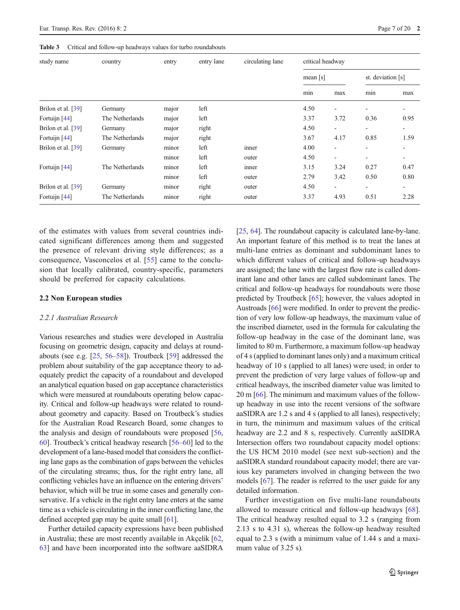<span id="page-6-0"></span>Table 3 Critical and follow-up headways values for turbo roundabouts

| study name         | country         | entry | entry lane | circulating lane | critical headway |                          |                          |                          |  |  |
|--------------------|-----------------|-------|------------|------------------|------------------|--------------------------|--------------------------|--------------------------|--|--|
|                    |                 |       |            |                  |                  | mean $[s]$               |                          | st. deviation [s]        |  |  |
|                    |                 |       |            |                  | min              | max                      | min                      | max                      |  |  |
| Brilon et al. [39] | Germany         | major | left       |                  | 4.50             | ٠                        | $\overline{\phantom{a}}$ |                          |  |  |
| Fortuijn [44]      | The Netherlands | major | left       |                  | 3.37             | 3.72                     | 0.36                     | 0.95                     |  |  |
| Brilon et al. [39] | Germany         | major | right      |                  | 4.50             | ٠                        | $\overline{\phantom{a}}$ | $\overline{\phantom{a}}$ |  |  |
| Fortuijn [44]      | The Netherlands | major | right      |                  | 3.67             | 4.17                     | 0.85                     | 1.59                     |  |  |
| Brilon et al. [39] | Germany         | minor | left       | inner            | 4.00             | $\overline{\phantom{a}}$ | ۰                        | ٠                        |  |  |
|                    |                 | minor | left       | outer            | 4.50             | ٠                        | ٠                        | ٠                        |  |  |
| Fortuijn [44]      | The Netherlands | minor | left       | inner            | 3.15             | 3.24                     | 0.27                     | 0.47                     |  |  |
|                    |                 | minor | left       | outer            | 2.79             | 3.42                     | 0.50                     | 0.80                     |  |  |
| Brilon et al. [39] | Germany         | minor | right      | outer            | 4.50             | ٠                        | $\overline{\phantom{a}}$ | ٠                        |  |  |
| Fortuijn [44]      | The Netherlands | minor | right      | outer            | 3.37             | 4.93                     | 0.51                     | 2.28                     |  |  |

of the estimates with values from several countries indicated significant differences among them and suggested the presence of relevant driving style differences; as a consequence, Vasconcelos et al. [[55](#page-18-0)] came to the conclusion that locally calibrated, country-specific, parameters should be preferred for capacity calculations.

#### 2.2 Non European studies

#### 2.2.1 Australian Research

Various researches and studies were developed in Australia focusing on geometric design, capacity and delays at roundabouts (see e.g. [[25,](#page-17-0) [56](#page-18-0)–[58](#page-18-0)]). Troutbeck [[59\]](#page-18-0) addressed the problem about suitability of the gap acceptance theory to adequately predict the capacity of a roundabout and developed an analytical equation based on gap acceptance characteristics which were measured at roundabouts operating below capacity. Critical and follow-up headways were related to roundabout geometry and capacity. Based on Troutbeck's studies for the Australian Road Research Board, some changes to the analysis and design of roundabouts were proposed [[56,](#page-18-0) [60\]](#page-18-0). Troutbeck's critical headway research [\[56](#page-18-0)–[60\]](#page-18-0) led to the development of a lane-based model that considers the conflicting lane gaps as the combination of gaps between the vehicles of the circulating streams; thus, for the right entry lane, all conflicting vehicles have an influence on the entering drivers' behavior, which will be true in some cases and generally conservative. If a vehicle in the right entry lane enters at the same time as a vehicle is circulating in the inner conflicting lane, the defined accepted gap may be quite small [[61](#page-18-0)].

Further detailed capacity expressions have been published in Australia; these are most recently available in Akçelik [[62,](#page-18-0) [63\]](#page-18-0) and have been incorporated into the software aaSIDRA

[\[25](#page-17-0), [64](#page-18-0)]. The roundabout capacity is calculated lane-by-lane. An important feature of this method is to treat the lanes at multi-lane entries as dominant and subdominant lanes to which different values of critical and follow-up headways are assigned; the lane with the largest flow rate is called dominant lane and other lanes are called subdominant lanes. The critical and follow-up headways for roundabouts were those predicted by Troutbeck [\[65](#page-18-0)]; however, the values adopted in Austroads [\[66\]](#page-18-0) were modified. In order to prevent the prediction of very low follow-up headways, the maximum value of the inscribed diameter, used in the formula for calculating the follow-up headway in the case of the dominant lane, was limited to 80 m. Furthermore, a maximum follow-up headway of 4 s (applied to dominant lanes only) and a maximum critical headway of 10 s (applied to all lanes) were used; in order to prevent the prediction of very large values of follow-up and critical headways, the inscribed diameter value was limited to 20 m [\[66](#page-18-0)]. The minimum and maximum values of the followup headway in use into the recent versions of the software aaSIDRA are 1.2 s and 4 s (applied to all lanes), respectively; in turn, the minimum and maximum values of the critical headway are 2.2 and 8 s, respectively. Currently aaSIDRA Intersection offers two roundabout capacity model options: the US HCM 2010 model (see next sub-section) and the aaSIDRA standard roundabout capacity model; there are various key parameters involved in changing between the two models [\[67](#page-18-0)]. The reader is referred to the user guide for any detailed information.

Further investigation on five multi-lane roundabouts allowed to measure critical and follow-up headways [\[68\]](#page-18-0). The critical headway resulted equal to 3.2 s (ranging from 2.13 s to 4.31 s), whereas the follow-up headway resulted equal to 2.3 s (with a minimum value of 1.44 s and a maximum value of 3.25 s).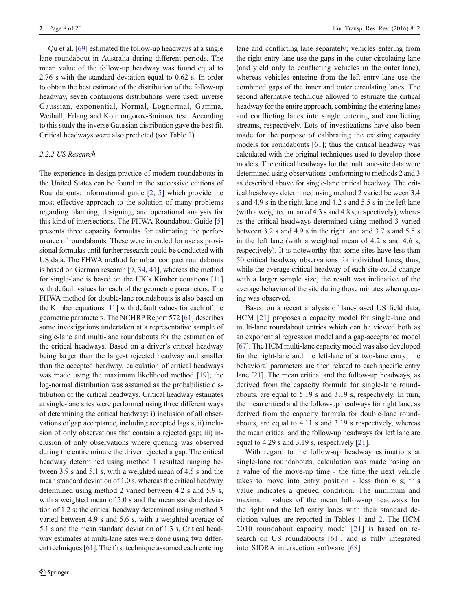Qu et al. [[69](#page-18-0)] estimated the follow-up headways at a single lane roundabout in Australia during different periods. The mean value of the follow-up headway was found equal to 2.76 s with the standard deviation equal to 0.62 s. In order to obtain the best estimate of the distribution of the follow-up headway, seven continuous distributions were used: inverse Gaussian, exponential, Normal, Lognormal, Gamma, Weibull, Erlang and Kolmongorov-Smirnov test. According to this study the inverse Gaussian distribution gave the best fit. Critical headways were also predicted (see Table [2](#page-5-0)).

## 2.2.2 US Research

The experience in design practice of modern roundabouts in the United States can be found in the successive editions of Roundabouts: informational guide [[2,](#page-17-0) [5\]](#page-17-0) which provide the most effective approach to the solution of many problems regarding planning, designing, and operational analysis for this kind of intersections. The FHWA Roundabout Guide [\[5\]](#page-17-0) presents three capacity formulas for estimating the performance of roundabouts. These were intended for use as provisional formulas until further research could be conducted with US data. The FHWA method for urban compact roundabouts is based on German research [[9,](#page-17-0) [34](#page-17-0), [41](#page-18-0)], whereas the method for single-lane is based on the UK's Kimber equations [\[11\]](#page-17-0) with default values for each of the geometric parameters. The FHWA method for double-lane roundabouts is also based on the Kimber equations [[11](#page-17-0)] with default values for each of the geometric parameters. The NCHRP Report 572 [\[61](#page-18-0)] describes some investigations undertaken at a representative sample of single-lane and multi-lane roundabouts for the estimation of the critical headways. Based on a driver's critical headway being larger than the largest rejected headway and smaller than the accepted headway, calculation of critical headways was made using the maximum likelihood method [[19\]](#page-17-0); the log-normal distribution was assumed as the probabilistic distribution of the critical headways. Critical headway estimates at single-lane sites were performed using three different ways of determining the critical headway: i) inclusion of all observations of gap acceptance, including accepted lags s; ii) inclusion of only observations that contain a rejected gap; iii) inclusion of only observations where queuing was observed during the entire minute the driver rejected a gap. The critical headway determined using method 1 resulted ranging between 3.9 s and 5.1 s, with a weighted mean of 4.5 s and the mean standard deviation of 1.0 s, whereas the critical headway determined using method 2 varied between 4.2 s and 5.9 s, with a weighted mean of 5.0 s and the mean standard deviation of 1.2 s; the critical headway determined using method 3 varied between 4.9 s and 5.6 s, with a weighted average of 5.1 s and the mean standard deviation of 1.3 s. Critical headway estimates at multi-lane sites were done using two different techniques [\[61](#page-18-0)]. The first technique assumed each entering

lane and conflicting lane separately; vehicles entering from the right entry lane use the gaps in the outer circulating lane (and yield only to conflicting vehicles in the outer lane), whereas vehicles entering from the left entry lane use the combined gaps of the inner and outer circulating lanes. The second alternative technique allowed to estimate the critical headway for the entire approach, combining the entering lanes and conflicting lanes into single entering and conflicting streams, respectively. Lots of investigations have also been made for the purpose of calibrating the existing capacity models for roundabouts [\[61\]](#page-18-0); thus the critical headway was calculated with the original techniques used to develop those models. The critical headways for the multilane-site data were determined using observations conforming to methods 2 and 3 as described above for single-lane critical headway. The critical headways determined using method 2 varied between 3.4 s and 4.9 s in the right lane and 4.2 s and 5.5 s in the left lane (with a weighted mean of 4.3 s and 4.8 s, respectively), whereas the critical headways determined using method 3 varied between 3.2 s and 4.9 s in the right lane and 3.7 s and 5.5 s in the left lane (with a weighted mean of 4.2 s and 4.6 s, respectively). It is noteworthy that some sites have less than 50 critical headway observations for individual lanes; thus, while the average critical headway of each site could change with a larger sample size, the result was indicative of the average behavior of the site during those minutes when queuing was observed.

Based on a recent analysis of lane-based US field data, HCM [[21](#page-17-0)] proposes a capacity model for single-lane and multi-lane roundabout entries which can be viewed both as an exponential regression model and a gap-acceptance model [\[67](#page-18-0)]. The HCM multi-lane capacity model was also developed for the right-lane and the left-lane of a two-lane entry; the behavioral parameters are then related to each specific entry lane [\[21](#page-17-0)]. The mean critical and the follow-up headways, as derived from the capacity formula for single-lane roundabouts, are equal to 5.19 s and 3.19 s, respectively. In turn, the mean critical and the follow-up headways for right lane, as derived from the capacity formula for double-lane roundabouts, are equal to 4.11 s and 3.19 s respectively, whereas the mean critical and the follow-up headways for left lane are equal to 4.29 s and 3.19 s, respectively [[21](#page-17-0)].

With regard to the follow-up headway estimations at single-lane roundabouts, calculation was made basing on a value of the move-up time - the time the next vehicle takes to move into entry position - less than 6 s; this value indicates a queued condition. The minimum and maximum values of the mean follow-up headways for the right and the left entry lanes with their standard deviation values are reported in Tables [1](#page-4-0) and [2](#page-5-0). The HCM 2010 roundabout capacity model [[21](#page-17-0)] is based on research on US roundabouts [[61](#page-18-0)], and is fully integrated into SIDRA intersection software [\[68](#page-18-0)].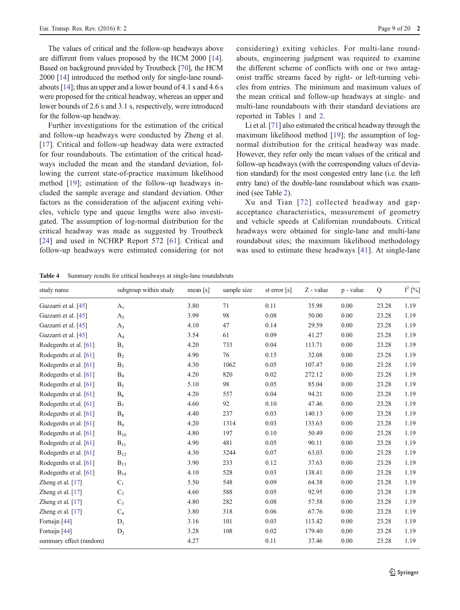<span id="page-8-0"></span>The values of critical and the follow-up headways above are different from values proposed by the HCM 2000 [[14\]](#page-17-0). Based on background provided by Troutbeck [\[70\]](#page-18-0), the HCM 2000 [[14](#page-17-0)] introduced the method only for single-lane roundabouts [\[14](#page-17-0)]; thus an upper and a lower bound of 4.1 s and 4.6 s were proposed for the critical headway, whereas an upper and lower bounds of 2.6 s and 3.1 s, respectively, were introduced for the follow-up headway.

Further investigations for the estimation of the critical and follow-up headways were conducted by Zheng et al. [\[17\]](#page-17-0). Critical and follow-up headway data were extracted for four roundabouts. The estimation of the critical headways included the mean and the standard deviation, following the current state-of-practice maximum likelihood method [[19\]](#page-17-0); estimation of the follow-up headways included the sample average and standard deviation. Other factors as the consideration of the adjacent exiting vehicles, vehicle type and queue lengths were also investigated. The assumption of log-normal distribution for the critical headway was made as suggested by Troutbeck [\[24\]](#page-17-0) and used in NCHRP Report 572 [[61\]](#page-18-0). Critical and follow-up headways were estimated considering (or not considering) exiting vehicles. For multi-lane roundabouts, engineering judgment was required to examine the different scheme of conflicts with one or two antagonist traffic streams faced by right- or left-turning vehicles from entries. The minimum and maximum values of the mean critical and follow-up headways at single- and multi-lane roundabouts with their standard deviations are reported in Tables [1](#page-4-0) and [2.](#page-5-0)

Li et al. [\[71\]](#page-18-0) also estimated the critical headway through the maximum likelihood method [\[19](#page-17-0)]; the assumption of lognormal distribution for the critical headway was made. However, they refer only the mean values of the critical and follow-up headways (with the corresponding values of deviation standard) for the most congested entry lane (i.e. the left entry lane) of the double-lane roundabout which was examined (see Table [2\)](#page-5-0).

Xu and Tian [[72](#page-18-0)] collected headway and gapacceptance characteristics, measurement of geometry and vehicle speeds at Californian roundabouts. Critical headways were obtained for single-lane and multi-lane roundabout sites; the maximum likelihood methodology was used to estimate these headways [[41](#page-18-0)]. At single-lane

Table 4 Summary results for critical headways at single-lane roundabouts

| study name              | subgroup within study | mean $[s]$ | sample size | st error $[s]$ | Z - value | p - value | Q     | $I^2$ [%] |
|-------------------------|-----------------------|------------|-------------|----------------|-----------|-----------|-------|-----------|
| Gazzarri et al. [45]    | A <sub>1</sub>        | 3.80       | 71          | 0.11           | 35.98     | 0.00      | 23.28 | 1.19      |
| Gazzarri et al. [45]    | A <sub>2</sub>        | 3.99       | 98          | 0.08           | 50.00     | 0.00      | 23.28 | 1.19      |
| Gazzarri et al. [45]    | $A_3$                 | 4.10       | 47          | 0.14           | 29.59     | 0.00      | 23.28 | 1.19      |
| Gazzarri et al. [45]    | $A_4$                 | 3.54       | 61          | 0.09           | 41.27     | 0.00      | 23.28 | 1.19      |
| Rodegerdts et al. [61]  | $B_1$                 | 4.20       | 733         | 0.04           | 113.71    | 0.00      | 23.28 | 1.19      |
| Rodegerdts et al. [61]  | B <sub>2</sub>        | 4.90       | 76          | 0.15           | 32.08     | 0.00      | 23.28 | 1.19      |
| Rodegerdts et al. [61]  | $B_3$                 | 4.30       | 1062        | 0.05           | 107.47    | 0.00      | 23.28 | 1.19      |
| Rodegerdts et al. [61]  | $B_4$                 | 4.20       | 820         | 0.02           | 272.12    | 0.00      | 23.28 | 1.19      |
| Rodegerdts et al. [61]  | $B_5$                 | 5.10       | 98          | 0.05           | 85.04     | 0.00      | 23.28 | 1.19      |
| Rodegerdts et al. [61]  | $B_6$                 | 4.20       | 557         | 0.04           | 94.21     | 0.00      | 23.28 | 1.19      |
| Rodegerdts et al. [61]  | $B_7$                 | 4.60       | 92          | 0.10           | 47.46     | 0.00      | 23.28 | 1.19      |
| Rodegerdts et al. [61]  | $B_8$                 | 4.40       | 237         | 0.03           | 140.13    | 0.00      | 23.28 | 1.19      |
| Rodegerdts et al. [61]  | B <sub>9</sub>        | 4.20       | 1314        | 0.03           | 133.63    | 0.00      | 23.28 | 1.19      |
| Rodegerdts et al. [61]  | $B_{10}$              | 4.80       | 197         | 0.10           | 50.49     | 0.00      | 23.28 | 1.19      |
| Rodegerdts et al. [61]  | $B_{11}$              | 4.90       | 481         | 0.05           | 90.11     | 0.00      | 23.28 | 1.19      |
| Rodegerdts et al. [61]  | $B_{12}$              | 4.30       | 3244        | 0.07           | 63.03     | 0.00      | 23.28 | 1.19      |
| Rodegerdts et al. [61]  | $B_{13}$              | 3.90       | 233         | 0.12           | 37.63     | 0.00      | 23.28 | 1.19      |
| Rodegerdts et al. [61]  | $B_{14}$              | 4.10       | 528         | 0.03           | 138.41    | 0.00      | 23.28 | 1.19      |
| Zheng et al. $[17]$     | $C_1$                 | 5.50       | 548         | 0.09           | 64.38     | 0.00      | 23.28 | 1.19      |
| Zheng et al. $[17]$     | C <sub>2</sub>        | 4.60       | 588         | 0.05           | 92.95     | 0.00      | 23.28 | 1.19      |
| Zheng et al. $[17]$     | $C_3$                 | 4.80       | 282         | 0.08           | 57.58     | 0.00      | 23.28 | 1.19      |
| Zheng et al. $[17]$     | $C_4$                 | 3.80       | 318         | 0.06           | 67.76     | 0.00      | 23.28 | 1.19      |
| Fortuijn [44]           | $D_1$                 | 3.16       | 101         | 0.03           | 113.42    | 0.00      | 23.28 | 1.19      |
| Fortuijn [44]           | $D_2$                 | 3.28       | 108         | 0.02           | 179.40    | 0,00      | 23.28 | 1.19      |
| summary effect (random) |                       | 4.27       |             | 0.11           | 37.46     | 0.00      | 23.28 | 1.19      |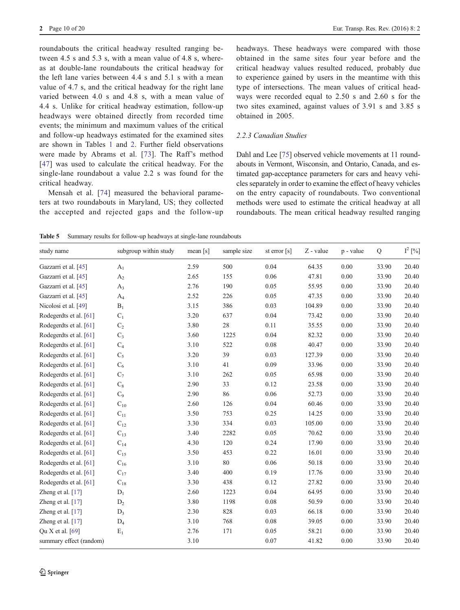<span id="page-9-0"></span>2 Page 10 of 20 Eur. Transp. Res. Rev. (2016) 8: 2

roundabouts the critical headway resulted ranging between 4.5 s and 5.3 s, with a mean value of 4.8 s, whereas at double-lane roundabouts the critical headway for the left lane varies between 4.4 s and 5.1 s with a mean value of 4.7 s, and the critical headway for the right lane varied between 4.0 s and 4.8 s, with a mean value of 4.4 s. Unlike for critical headway estimation, follow-up headways were obtained directly from recorded time events; the minimum and maximum values of the critical and follow-up headways estimated for the examined sites are shown in Tables [1](#page-4-0) and [2](#page-5-0). Further field observations were made by Abrams et al. [[73](#page-18-0)]. The Raff's method [\[47\]](#page-18-0) was used to calculate the critical headway. For the single-lane roundabout a value 2.2 s was found for the critical headway.

Mensah et al. [[74\]](#page-19-0) measured the behavioral parameters at two roundabouts in Maryland, US; they collected the accepted and rejected gaps and the follow-up headways. These headways were compared with those obtained in the same sites four year before and the critical headway values resulted reduced, probably due to experience gained by users in the meantime with this type of intersections. The mean values of critical headways were recorded equal to 2.50 s and 2.60 s for the two sites examined, against values of 3.91 s and 3.85 s obtained in 2005.

## 2.2.3 Canadian Studies

Dahl and Lee [\[75\]](#page-19-0) observed vehicle movements at 11 roundabouts in Vermont, Wisconsin, and Ontario, Canada, and estimated gap-acceptance parameters for cars and heavy vehicles separately in order to examine the effect of heavy vehicles on the entry capacity of roundabouts. Two conventional methods were used to estimate the critical headway at all roundabouts. The mean critical headway resulted ranging

Table 5 Summary results for follow-up headways at single-lane roundabouts

| study name              | subgroup within study | mean $[s]$ | sample size | st error $[s]$ | $Z$ - value | p - value | Q     | $I^2$ [%] |
|-------------------------|-----------------------|------------|-------------|----------------|-------------|-----------|-------|-----------|
| Gazzarri et al. [45]    | A <sub>1</sub>        | 2.59       | 500         | 0.04           | 64.35       | 0.00      | 33.90 | 20.40     |
| Gazzarri et al. [45]    | A <sub>2</sub>        | 2.65       | 155         | 0.06           | 47.81       | 0.00      | 33.90 | 20.40     |
| Gazzarri et al. [45]    | $A_3$                 | 2.76       | 190         | 0.05           | 55.95       | 0.00      | 33.90 | 20.40     |
| Gazzarri et al. [45]    | $A_4$                 | 2.52       | 226         | 0.05           | 47.35       | 0.00      | 33.90 | 20.40     |
| Nicolosi et al. [49]    | $B_1$                 | 3.15       | 386         | 0.03           | 104.89      | 0.00      | 33.90 | 20.40     |
| Rodegerdts et al. [61]  | $\mathrm{C}_1$        | 3.20       | 637         | 0.04           | 73.42       | 0.00      | 33.90 | 20.40     |
| Rodegerdts et al. [61]  | $C_2$                 | 3.80       | 28          | 0.11           | 35.55       | 0.00      | 33.90 | 20.40     |
| Rodegerdts et al. [61]  | $C_3$                 | 3.60       | 1225        | 0.04           | 82.32       | 0.00      | 33.90 | 20.40     |
| Rodegerdts et al. [61]  | $C_4$                 | 3.10       | 522         | 0.08           | 40.47       | 0.00      | 33.90 | 20.40     |
| Rodegerdts et al. [61]  | $C_5$                 | 3.20       | 39          | 0.03           | 127.39      | 0.00      | 33.90 | 20.40     |
| Rodegerdts et al. [61]  | $\mathrm{C}_6$        | 3.10       | 41          | 0.09           | 33.96       | 0.00      | 33.90 | 20.40     |
| Rodegerdts et al. [61]  | $C_7$                 | 3.10       | 262         | 0.05           | 65.98       | 0.00      | 33.90 | 20.40     |
| Rodegerdts et al. [61]  | $\mathrm{C}_8$        | 2.90       | 33          | 0.12           | 23.58       | 0.00      | 33.90 | 20.40     |
| Rodegerdts et al. [61]  | $C_9$                 | 2.90       | 86          | 0.06           | 52.73       | 0.00      | 33.90 | 20.40     |
| Rodegerdts et al. [61]  | $C_{10}$              | 2.60       | 126         | 0.04           | 60.46       | 0.00      | 33.90 | 20.40     |
| Rodegerdts et al. [61]  | $C_{11}$              | 3.50       | 753         | 0.25           | 14.25       | 0.00      | 33.90 | 20.40     |
| Rodegerdts et al. [61]  | $C_{12}$              | 3.30       | 334         | 0.03           | 105.00      | 0.00      | 33.90 | 20.40     |
| Rodegerdts et al. [61]  | $C_{13}$              | 3.40       | 2282        | 0.05           | 70.62       | 0.00      | 33.90 | 20.40     |
| Rodegerdts et al. [61]  | $C_{14}$              | 4.30       | 120         | 0.24           | 17.90       | 0.00      | 33.90 | 20.40     |
| Rodegerdts et al. [61]  | $C_{15}$              | 3.50       | 453         | 0.22           | 16.01       | 0.00      | 33.90 | 20.40     |
| Rodegerdts et al. [61]  | $C_{16}$              | 3.10       | 80          | 0.06           | 50.18       | 0.00      | 33.90 | 20.40     |
| Rodegerdts et al. [61]  | $C_{17}$              | 3.40       | 400         | 0.19           | 17.76       | 0.00      | 33.90 | 20.40     |
| Rodegerdts et al. [61]  | $C_{18}$              | 3.30       | 438         | 0.12           | 27.82       | 0.00      | 33.90 | 20.40     |
| Zheng et al. [17]       | $D_1$                 | 2.60       | 1223        | 0.04           | 64.95       | 0.00      | 33.90 | 20.40     |
| Zheng et al. [17]       | $D_2$                 | 3.80       | 1198        | 0.08           | 50.59       | 0.00      | 33.90 | 20.40     |
| Zheng et al. $[17]$     | $D_3$                 | 2.30       | 828         | 0.03           | 66.18       | 0.00      | 33.90 | 20.40     |
| Zheng et al. [17]       | $D_4$                 | 3.10       | 768         | $0.08\,$       | 39.05       | 0.00      | 33.90 | 20.40     |
| Qu X et al. $[69]$      | $E_1$                 | 2.76       | 171         | 0.05           | 58.21       | 0.00      | 33.90 | 20.40     |
| summary effect (random) |                       | 3.10       |             | 0.07           | 41.82       | $0.00\,$  | 33.90 | 20.40     |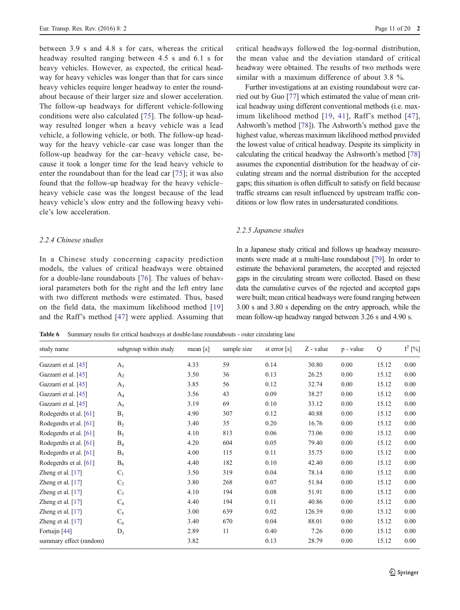<span id="page-10-0"></span>between 3.9 s and 4.8 s for cars, whereas the critical headway resulted ranging between 4.5 s and 6.1 s for heavy vehicles. However, as expected, the critical headway for heavy vehicles was longer than that for cars since heavy vehicles require longer headway to enter the roundabout because of their larger size and slower acceleration. The follow-up headways for different vehicle-following conditions were also calculated [[75\]](#page-19-0). The follow-up headway resulted longer when a heavy vehicle was a lead vehicle, a following vehicle, or both. The follow-up headway for the heavy vehicle–car case was longer than the follow-up headway for the car–heavy vehicle case, because it took a longer time for the lead heavy vehicle to enter the roundabout than for the lead car [[75\]](#page-19-0); it was also found that the follow-up headway for the heavy vehicle– heavy vehicle case was the longest because of the lead heavy vehicle's slow entry and the following heavy vehicle's low acceleration.

#### 2.2.4 Chinese studies

In a Chinese study concerning capacity prediction models, the values of critical headways were obtained for a double-lane roundabouts [[76](#page-19-0)]. The values of behavioral parameters both for the right and the left entry lane with two different methods were estimated. Thus, based on the field data, the maximum likelihood method [[19\]](#page-17-0) and the Raff's method [\[47](#page-18-0)] were applied. Assuming that critical headways followed the log-normal distribution, the mean value and the deviation standard of critical headway were obtained. The results of two methods were similar with a maximum difference of about 3.8 %.

Further investigations at an existing roundabout were carried out by Guo [\[77\]](#page-19-0) which estimated the value of mean critical headway using different conventional methods (i.e. maximum likelihood method [\[19,](#page-17-0) [41](#page-18-0)], Raff's method [[47](#page-18-0)], Ashworth's method [[78\]](#page-19-0)). The Ashworth's method gave the highest value, whereas maximum likelihood method provided the lowest value of critical headway. Despite its simplicity in calculating the critical headway the Ashworth's method [\[78](#page-19-0)] assumes the exponential distribution for the headway of circulating stream and the normal distribution for the accepted gaps; this situation is often difficult to satisfy on field because traffic streams can result influenced by upstream traffic conditions or low flow rates in undersaturated conditions.

#### 2.2.5 Japanese studies

In a Japanese study critical and follows up headway measurements were made at a multi-lane roundabout [\[79](#page-19-0)]. In order to estimate the behavioral parameters, the accepted and rejected gaps in the circulating stream were collected. Based on these data the cumulative curves of the rejected and accepted gaps were built; mean critical headways were found ranging between 3.00 s and 3.80 s depending on the entry approach, while the mean follow-up headway ranged between 3.26 s and 4.90 s.

Table 6 Summary results for critical headways at double-lane roundabouts - outer circulating lane

| study name              | subgroup within study | mean $[s]$ | sample size | st error $[s]$ | Z - value | p - value | $\overline{Q}$ | $I^2$ [%] |
|-------------------------|-----------------------|------------|-------------|----------------|-----------|-----------|----------------|-----------|
| Gazzarri et al. [45]    | $A_1$                 | 4.33       | 59          | 0.14           | 30.80     | 0.00      | 15.12          | 0.00      |
| Gazzarri et al. [45]    | $A_2$                 | 3.50       | 36          | 0.13           | 26.25     | 0.00      | 15.12          | 0.00      |
| Gazzarri et al. [45]    | $A_3$                 | 3.85       | 56          | 0.12           | 32.74     | 0.00      | 15.12          | 0.00      |
| Gazzarri et al. [45]    | $A_4$                 | 3.56       | 43          | 0.09           | 38.27     | 0.00      | 15.12          | 0.00      |
| Gazzarri et al. [45]    | $A_5$                 | 3.19       | 69          | 0.10           | 33.12     | 0.00      | 15.12          | 0.00      |
| Rodegerdts et al. [61]  | $B_1$                 | 4.90       | 307         | 0.12           | 40.88     | 0.00      | 15.12          | 0.00      |
| Rodegerdts et al. [61]  | B <sub>2</sub>        | 3.40       | 35          | 0.20           | 16.76     | 0.00      | 15.12          | 0.00      |
| Rodegerdts et al. [61]  | $B_3$                 | 4.10       | 813         | 0.06           | 73.06     | 0.00      | 15.12          | 0.00      |
| Rodegerdts et al. [61]  | $B_4$                 | 4.20       | 604         | 0.05           | 79.40     | 0.00      | 15.12          | 0.00      |
| Rodegerdts et al. [61]  | $B_5$                 | 4.00       | 115         | 0.11           | 35.75     | 0.00      | 15.12          | 0.00      |
| Rodegerdts et al. [61]  | $B_6$                 | 4.40       | 182         | 0.10           | 42.40     | 0.00      | 15.12          | 0.00      |
| Zheng et al. [17]       | $C_1$                 | 3.50       | 319         | 0.04           | 78.14     | 0.00      | 15.12          | 0.00      |
| Zheng et al. $[17]$     | C <sub>2</sub>        | 3.80       | 268         | 0.07           | 51.84     | 0.00      | 15.12          | 0.00      |
| Zheng et al. $[17]$     | $C_3$                 | 4.10       | 194         | 0.08           | 51.91     | 0.00      | 15.12          | 0.00      |
| Zheng et al. $[17]$     | $C_4$                 | 4.40       | 194         | 0.11           | 40.86     | 0.00      | 15.12          | 0.00      |
| Zheng et al. $[17]$     | $C_5$                 | 3.00       | 639         | 0.02           | 126.39    | 0.00      | 15.12          | 0.00      |
| Zheng et al. $[17]$     | $C_6$                 | 3.40       | 670         | 0.04           | 88.01     | 0.00      | 15.12          | 0.00      |
| Fortuijn [44]           | $D_1$                 | 2.89       | 11          | 0.40           | 7.26      | 0.00      | 15.12          | 0.00      |
| summary effect (random) |                       | 3.82       |             | 0.13           | 28.79     | 0.00      | 15.12          | 0.00      |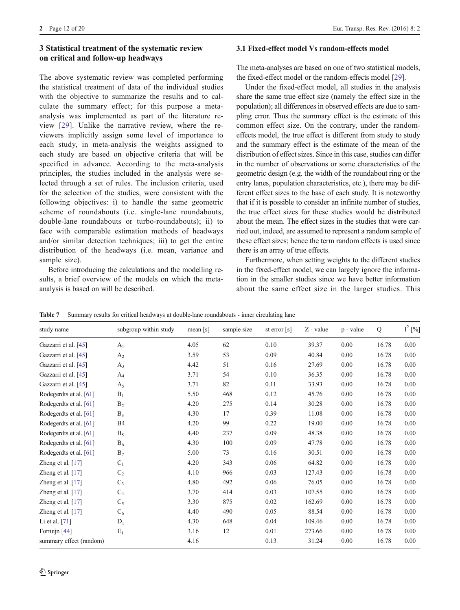# <span id="page-11-0"></span>3 Statistical treatment of the systematic review on critical and follow-up headways

The above systematic review was completed performing the statistical treatment of data of the individual studies with the objective to summarize the results and to calculate the summary effect; for this purpose a metaanalysis was implemented as part of the literature review [[29\]](#page-17-0). Unlike the narrative review, where the reviewers implicitly assign some level of importance to each study, in meta-analysis the weights assigned to each study are based on objective criteria that will be specified in advance. According to the meta-analysis principles, the studies included in the analysis were selected through a set of rules. The inclusion criteria, used for the selection of the studies, were consistent with the following objectives: i) to handle the same geometric scheme of roundabouts (i.e. single-lane roundabouts, double-lane roundabouts or turbo-roundabouts); ii) to face with comparable estimation methods of headways and/or similar detection techniques; iii) to get the entire distribution of the headways (i.e. mean, variance and sample size).

Before introducing the calculations and the modelling results, a brief overview of the models on which the metaanalysis is based on will be described.

#### 3.1 Fixed-effect model Vs random-effects model

The meta-analyses are based on one of two statistical models, the fixed-effect model or the random-effects model [[29](#page-17-0)].

Under the fixed-effect model, all studies in the analysis share the same true effect size (namely the effect size in the population); all differences in observed effects are due to sampling error. Thus the summary effect is the estimate of this common effect size. On the contrary, under the randomeffects model, the true effect is different from study to study and the summary effect is the estimate of the mean of the distribution of effect sizes. Since in this case, studies can differ in the number of observations or some characteristics of the geometric design (e.g. the width of the roundabout ring or the entry lanes, population characteristics, etc.), there may be different effect sizes to the base of each study. It is noteworthy that if it is possible to consider an infinite number of studies, the true effect sizes for these studies would be distributed about the mean. The effect sizes in the studies that were carried out, indeed, are assumed to represent a random sample of these effect sizes; hence the term random effects is used since there is an array of true effects.

Furthermore, when setting weights to the different studies in the fixed-effect model, we can largely ignore the information in the smaller studies since we have better information about the same effect size in the larger studies. This

| study name              | subgroup within study | mean $[s]$ | sample size | st error $[s]$ | $Z$ - value | p - value | Q     | $I^2$ [%] |
|-------------------------|-----------------------|------------|-------------|----------------|-------------|-----------|-------|-----------|
| Gazzarri et al. [45]    | A <sub>1</sub>        | 4.05       | 62          | 0.10           | 39.37       | 0.00      | 16.78 | 0.00      |
| Gazzarri et al. [45]    | A <sub>2</sub>        | 3.59       | 53          | 0.09           | 40.84       | 0.00      | 16.78 | 0.00      |
| Gazzarri et al. [45]    | $A_3$                 | 4.42       | 51          | 0.16           | 27.69       | 0.00      | 16.78 | 0.00      |
| Gazzarri et al. [45]    | $A_4$                 | 3.71       | 54          | 0.10           | 36.35       | 0.00      | 16.78 | 0.00      |
| Gazzarri et al. [45]    | $A_5$                 | 3.71       | 82          | 0.11           | 33.93       | 0.00      | 16.78 | 0.00      |
| Rodegerdts et al. [61]  | $B_1$                 | 5.50       | 468         | 0.12           | 45.76       | 0.00      | 16.78 | 0.00      |
| Rodegerdts et al. [61]  | B <sub>2</sub>        | 4.20       | 275         | 0.14           | 30.28       | 0.00      | 16.78 | 0.00      |
| Rodegerdts et al. [61]  | $B_3$                 | 4.30       | 17          | 0.39           | 11.08       | 0.00      | 16.78 | 0.00      |
| Rodegerdts et al. [61]  | <b>B4</b>             | 4.20       | 99          | 0.22           | 19.00       | 0.00      | 16.78 | 0.00      |
| Rodegerdts et al. [61]  | $B_5$                 | 4.40       | 237         | 0.09           | 48.38       | 0.00      | 16.78 | 0.00      |
| Rodegerdts et al. [61]  | $B_6$                 | 4.30       | 100         | 0.09           | 47.78       | 0.00      | 16.78 | 0.00      |
| Rodegerdts et al. [61]  | $B_7$                 | 5.00       | 73          | 0.16           | 30.51       | 0.00      | 16.78 | 0.00      |
| Zheng et al. $[17]$     | $C_1$                 | 4.20       | 343         | 0.06           | 64.82       | 0.00      | 16.78 | 0.00      |
| Zheng et al. $[17]$     | C <sub>2</sub>        | 4.10       | 966         | 0.03           | 127.43      | 0.00      | 16.78 | 0.00      |
| Zheng et al. $[17]$     | $C_3$                 | 4.80       | 492         | 0.06           | 76.05       | 0.00      | 16.78 | 0.00      |
| Zheng et al. $[17]$     | $C_4$                 | 3.70       | 414         | 0.03           | 107.55      | 0.00      | 16.78 | 0.00      |
| Zheng et al. $[17]$     | $C_5$                 | 3.30       | 875         | 0.02           | 162.69      | 0.00      | 16.78 | 0.00      |
| Zheng et al. $[17]$     | $C_6$                 | 4.40       | 490         | 0.05           | 88.54       | 0.00      | 16.78 | 0.00      |
| Li et al. [71]          | $D_1$                 | 4.30       | 648         | 0.04           | 109.46      | 0.00      | 16.78 | 0.00      |
| Fortuijn [44]           | $E_1$                 | 3.16       | 12          | 0.01           | 273.66      | 0.00      | 16.78 | 0.00      |
| summary effect (random) |                       | 4.16       |             | 0.13           | 31.24       | 0.00      | 16.78 | 0.00      |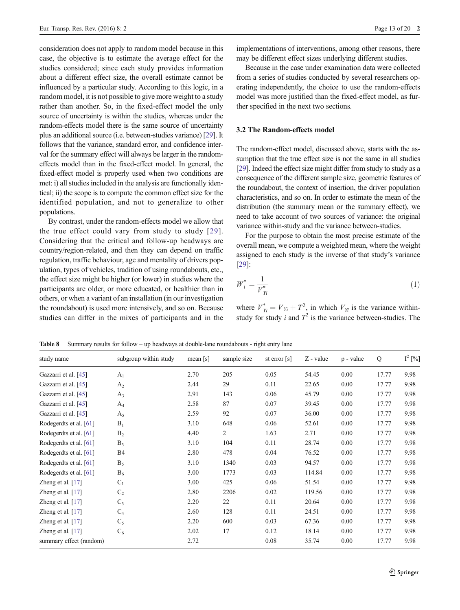<span id="page-12-0"></span>consideration does not apply to random model because in this case, the objective is to estimate the average effect for the studies considered; since each study provides information about a different effect size, the overall estimate cannot be influenced by a particular study. According to this logic, in a random model, it is not possible to give more weight to a study rather than another. So, in the fixed-effect model the only source of uncertainty is within the studies, whereas under the random-effects model there is the same source of uncertainty plus an additional source (i.e. between-studies variance) [\[29\]](#page-17-0). It follows that the variance, standard error, and confidence interval for the summary effect will always be larger in the randomeffects model than in the fixed-effect model. In general, the fixed-effect model is properly used when two conditions are met: i) all studies included in the analysis are functionally identical; ii) the scope is to compute the common effect size for the identified population, and not to generalize to other populations.

By contrast, under the random-effects model we allow that the true effect could vary from study to study [[29\]](#page-17-0). Considering that the critical and follow-up headways are country/region-related, and then they can depend on traffic regulation, traffic behaviour, age and mentality of drivers population, types of vehicles, tradition of using roundabouts, etc., the effect size might be higher (or lower) in studies where the participants are older, or more educated, or healthier than in others, or when a variant of an installation (in our investigation the roundabout) is used more intensively, and so on. Because studies can differ in the mixes of participants and in the

implementations of interventions, among other reasons, there may be different effect sizes underlying different studies.

Because in the case under examination data were collected from a series of studies conducted by several researchers operating independently, the choice to use the random-effects model was more justified than the fixed-effect model, as further specified in the next two sections.

## 3.2 The Random-effects model

The random-effect model, discussed above, starts with the assumption that the true effect size is not the same in all studies [\[29\]](#page-17-0). Indeed the effect size might differ from study to study as a consequence of the different sample size, geometric features of the roundabout, the context of insertion, the driver population characteristics, and so on. In order to estimate the mean of the distribution (the summary mean or the summary effect), we need to take account of two sources of variance: the original variance within-study and the variance between-studies.

For the purpose to obtain the most precise estimate of the overall mean, we compute a weighted mean, where the weight assigned to each study is the inverse of that study's variance [\[29](#page-17-0)]:

$$
W_i^* = \frac{1}{V_{Yi}^*}
$$
\n<sup>(1)</sup>

where  $V_{Y_i}^* = V_{Y_i} + T^2$ , in which  $V_{Y_i}$  is the variance withinstudy for study i and  $T^2$  is the variance between-studies. The

study name subgroup within study mean [s] sample size st error [s] Z - value p - value Q I<sup>2</sup> [%] Gazzarri et al. [\[45](#page-18-0)] A<sub>1</sub> 2.70 2.70 2.05 54.45 0.00 17.77 9.98 Gazzarri et al. [\[45](#page-18-0)]  $A_2$  2.44 29 0.11 22.65 0.00 17.77 9.98 Gazzarri et al. [\[45](#page-18-0)] A<sub>3</sub> 2.91 143 0.06 45.79 0.00 17.77 9.98 Gazzarri et al. [\[45](#page-18-0)] A<sub>4</sub> 2.58 87 0.07 39.45 0.00 17.77 9.98 Gazzarri et al. [\[45](#page-18-0)] A<sub>5</sub> 2.59 92 0.07 36.00 0.00 17.77 9.98 Rodegerdts et al. [\[61\]](#page-18-0)  $B_1$  3.10 648 0.06 52.61 0.00 17.77 9.98 Rodegerdts et al. [\[61\]](#page-18-0) B<sub>2</sub> 4.40 2 1.63 2.71 0.00 17.77 9.98 Rodegerdts et al. [\[61\]](#page-18-0) B<sub>3</sub> 3.10 104 0.11 28.74 0.00 17.77 9.98 Rodegerdts et al. [\[61\]](#page-18-0) B4 2.80 478 0.04 76.52 0.00 17.77 9.98 Rodegerdts et al. [\[61\]](#page-18-0)  $B_5$  3.10 1340 0.03 94.57 0.00 17.77 9.98 Rodegerdts et al. [\[61\]](#page-18-0)  $B_6$  3.00 1773 0.03 114.84 0.00 17.77 9.98 Zheng et al.  $[17]$  $[17]$  C<sub>1</sub> 3.00 425 0.06 51.54 0.00 17.77 9.98 Zheng et al. [\[17](#page-17-0)] C<sub>2</sub> 2.80 2206 0.02 119.56 0.00 17.77 9.98 Zheng et al. [\[17](#page-17-0)] C<sub>3</sub> 2.20 22 0.11 20.64 0.00 17.77 9.98 Zheng et al. [\[17](#page-17-0)] C<sub>4</sub> 2.60 128 0.11 24.51 0.00 17.77 9.98 Zheng et al. [\[17](#page-17-0)] C<sub>5</sub> 2.20 600 0.03 67.36 0.00 17.77 9.98 Zheng et al. [\[17](#page-17-0)] C<sub>6</sub> 2.02 17 0.12 18.14 0.00 17.77 9.98 summary effect (random) 2.72 0.08 35.74 0.00 17.77 9.98

Table 8 Summary results for follow – up headways at double-lane roundabouts - right entry lane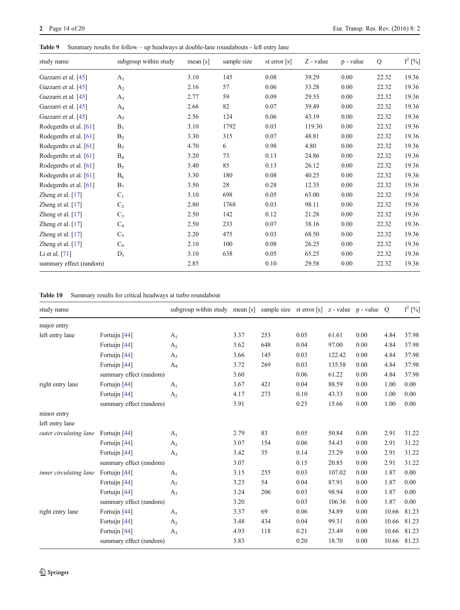| study name              | subgroup within study | mean $[s]$ | sample size | st error $[s]$ | Z - value | p - value | Q     | ${\rm I}^2$ [%] |
|-------------------------|-----------------------|------------|-------------|----------------|-----------|-----------|-------|-----------------|
| Gazzarri et al. [45]    | A <sub>1</sub>        | 3.10       | 145         | 0.08           | 39.29     | 0.00      | 22.32 | 19.36           |
| Gazzarri et al. [45]    | A <sub>2</sub>        | 2.16       | 57          | 0.06           | 33.28     | 0.00      | 22.32 | 19.36           |
| Gazzarri et al. [45]    | $A_3$                 | 2.77       | 59          | 0.09           | 29.55     | 0.00      | 22.32 | 19.36           |
| Gazzarri et al. [45]    | $A_4$                 | 2.66       | 82          | 0.07           | 39.49     | 0.00      | 22.32 | 19.36           |
| Gazzarri et al. [45]    | A <sub>5</sub>        | 2.56       | 124         | 0.06           | 43.19     | 0.00      | 22.32 | 19.36           |
| Rodegerdts et al. [61]  | $B_1$                 | 3.10       | 1792        | 0.03           | 119.30    | 0.00      | 22.32 | 19.36           |
| Rodegerdts et al. [61]  | B <sub>2</sub>        | 3.30       | 315         | 0.07           | 48.81     | 0.00      | 22.32 | 19.36           |
| Rodegerdts et al. [61]  | $B_3$                 | 4.70       | 6           | 0.98           | 4.80      | 0.00      | 22.32 | 19.36           |
| Rodegerdts et al. [61]  | $B_4$                 | 3.20       | 73          | 0.13           | 24.86     | 0.00      | 22.32 | 19.36           |
| Rodegerdts et al. [61]  | $B_5$                 | 3.40       | 85          | 0.13           | 26.12     | 0.00      | 22.32 | 19.36           |
| Rodegerdts et al. [61]  | $B_6$                 | 3.30       | 180         | 0.08           | 40.25     | 0.00      | 22.32 | 19.36           |
| Rodegerdts et al. [61]  | $B_7$                 | 3.50       | 28          | 0.28           | 12.35     | 0.00      | 22.32 | 19.36           |
| Zheng et al. $[17]$     | $C_1$                 | 3.10       | 698         | 0.05           | 63.00     | 0.00      | 22.32 | 19.36           |
| Zheng et al. $[17]$     | $C_2$                 | 2.80       | 1768        | 0.03           | 98.11     | 0.00      | 22.32 | 19.36           |
| Zheng et al. $[17]$     | $C_3$                 | 2.50       | 142         | 0.12           | 21.28     | 0.00      | 22.32 | 19.36           |
| Zheng et al. $[17]$     | $C_4$                 | 2.50       | 233         | 0.07           | 38.16     | 0.00      | 22.32 | 19.36           |
| Zheng et al. $[17]$     | $C_5$                 | 2.20       | 475         | 0.03           | 68.50     | 0.00      | 22.32 | 19.36           |
| Zheng et al. $[17]$     | $C_6$                 | 2.10       | 100         | 0.08           | 26.25     | 0.00      | 22.32 | 19.36           |
| Li et al. $[71]$        | $D_1$                 | 3.10       | 638         | 0.05           | 65.25     | 0.00      | 22.32 | 19.36           |
| summary effect (random) |                       | 2.85       |             | 0.10           | 29.58     | 0.00      | 22.32 | 19.36           |

<span id="page-13-0"></span>Table 9 Summary results for follow – up headways at double-lane roundabouts - left entry lane

Table 10 Summary results for critical headways at turbo roundabout

| study name             |                         | subgroup within study mean [s] |      | sample size st error [s] $z - value$ p - value Q |      |        |      |       | $I^2$ [%] |
|------------------------|-------------------------|--------------------------------|------|--------------------------------------------------|------|--------|------|-------|-----------|
| major entry            |                         |                                |      |                                                  |      |        |      |       |           |
| left entry lane        | Fortuijn [44]           | A <sub>1</sub>                 | 3.37 | 253                                              | 0.05 | 61.61  | 0.00 | 4.84  | 37.98     |
|                        | Fortuijn [44]           | A <sub>2</sub>                 | 3.62 | 648                                              | 0.04 | 97.00  | 0.00 | 4.84  | 37.98     |
|                        | Fortuijn [44]           | $A_3$                          | 3.66 | 145                                              | 0.03 | 122.42 | 0.00 | 4.84  | 37.98     |
|                        | Fortuijn [44]           | $A_4$                          | 3.72 | 269                                              | 0.03 | 135.58 | 0.00 | 4.84  | 37.98     |
|                        | summary effect (random) |                                | 3.60 |                                                  | 0.06 | 61.22  | 0.00 | 4.84  | 37.98     |
| right entry lane       | Fortuijn [44]           | A <sub>1</sub>                 | 3.67 | 421                                              | 0.04 | 88.59  | 0.00 | 1.00  | 0.00      |
|                        | Fortuijn [44]           | A <sub>2</sub>                 | 4.17 | 273                                              | 0.10 | 43.33  | 0.00 | 1.00  | 0.00      |
|                        | summary effect (random) |                                | 3.91 |                                                  | 0.25 | 15.66  | 0.00 | 1.00  | 0.00      |
| minor entry            |                         |                                |      |                                                  |      |        |      |       |           |
| left entry lane        |                         |                                |      |                                                  |      |        |      |       |           |
| outer circulating lane | Fortuijn [44]           | A <sub>1</sub>                 | 2.79 | 83                                               | 0.05 | 50.84  | 0.00 | 2.91  | 31.22     |
|                        | Fortuijn [44]           | A <sub>2</sub>                 | 3.07 | 154                                              | 0.06 | 54.43  | 0.00 | 2.91  | 31.22     |
|                        | Fortuijn [44]           | $A_3$                          | 3.42 | 35                                               | 0.14 | 25.29  | 0.00 | 2.91  | 31.22     |
|                        | summary effect (random) |                                | 3.07 |                                                  | 0.15 | 20.85  | 0.00 | 2.91  | 31.22     |
| inner circulating lane | Fortuijn [44]           | A <sub>1</sub>                 | 3.15 | 255                                              | 0.03 | 107.02 | 0.00 | 1.87  | 0.00      |
|                        | Fortuijn [44]           | A <sub>2</sub>                 | 3.23 | 54                                               | 0.04 | 87.91  | 0.00 | 1.87  | 0.00      |
|                        | Fortuijn [44]           | $A_3$                          | 3.24 | 206                                              | 0.03 | 98.94  | 0.00 | 1.87  | 0.00      |
|                        | summary effect (random) |                                | 3.20 |                                                  | 0.03 | 106.36 | 0.00 | 1.87  | 0.00      |
| right entry lane       | Fortuijn [44]           | A <sub>1</sub>                 | 3.37 | 69                                               | 0.06 | 54.89  | 0.00 | 10.66 | 81.23     |
|                        | Fortuijn [44]           | A <sub>2</sub>                 | 3.48 | 434                                              | 0.04 | 99.31  | 0.00 | 10.66 | 81.23     |
|                        | Fortuijn [44]           | $A_3$                          | 4.93 | 118                                              | 0.21 | 23.49  | 0.00 | 10.66 | 81.23     |
|                        | summary effect (random) |                                | 3.83 |                                                  | 0.20 | 18.70  | 0.00 | 10.66 | 81.23     |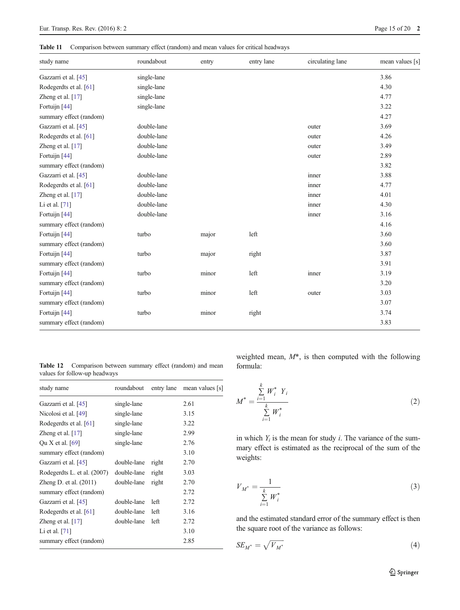<span id="page-14-0"></span>Table 11 Comparison between summary effect (random) and mean values for critical headways

| study name              | roundabout  | entry | entry lane | circulating lane | mean values [s] |
|-------------------------|-------------|-------|------------|------------------|-----------------|
| Gazzarri et al. [45]    | single-lane |       |            |                  | 3.86            |
| Rodegerdts et al. [61]  | single-lane |       |            |                  | 4.30            |
| Zheng et al. $[17]$     | single-lane |       |            |                  | 4.77            |
| Fortuijn [44]           | single-lane |       |            |                  | 3.22            |
| summary effect (random) |             |       |            |                  | 4.27            |
| Gazzarri et al. [45]    | double-lane |       |            | outer            | 3.69            |
| Rodegerdts et al. [61]  | double-lane |       |            | outer            | 4.26            |
| Zheng et al. [17]       | double-lane |       |            | outer            | 3.49            |
| Fortuijn [44]           | double-lane |       |            | outer            | 2.89            |
| summary effect (random) |             |       |            |                  | 3.82            |
| Gazzarri et al. [45]    | double-lane |       |            | inner            | 3.88            |
| Rodegerdts et al. [61]  | double-lane |       |            | inner            | 4.77            |
| Zheng et al. [17]       | double-lane |       |            | inner            | 4.01            |
| Li et al. [71]          | double-lane |       |            | inner            | 4.30            |
| Fortuijn [44]           | double-lane |       |            | inner            | 3.16            |
| summary effect (random) |             |       |            |                  | 4.16            |
| Fortuijn [44]           | turbo       | major | left       |                  | 3.60            |
| summary effect (random) |             |       |            |                  | 3.60            |
| Fortuijn [44]           | turbo       | major | right      |                  | 3.87            |
| summary effect (random) |             |       |            |                  | 3.91            |
| Fortuijn [44]           | turbo       | minor | left       | inner            | 3.19            |
| summary effect (random) |             |       |            |                  | 3.20            |
| Fortuijn [44]           | turbo       | minor | left       | outer            | 3.03            |
| summary effect (random) |             |       |            |                  | 3.07            |
| Fortuijn [44]           | turbo       | minor | right      |                  | 3.74            |
| summary effect (random) |             |       |            |                  | 3.83            |

Table 12 Comparison between summary effect (random) and mean values for follow-up headways

| study name                  | roundabout  | entry lane | mean values $[s]$ |
|-----------------------------|-------------|------------|-------------------|
| Gazzarri et al. [45]        | single-lane |            | 2.61              |
| Nicolosi et al. [49]        | single-lane |            | 3.15              |
| Rodegerdts et al. [61]      | single-lane |            | 3.22              |
| Zheng et al. $[17]$         | single-lane |            | 2.99              |
| Qu X et al. $[69]$          | single-lane |            | 2.76              |
| summary effect (random)     |             |            | 3.10              |
| Gazzarri et al. [45]        | double-lane | right      | 2.70              |
| Rodegerdts L. et al. (2007) | double-lane | right      | 3.03              |
| Zheng D. et al. $(2011)$    | double-lane | right      | 2.70              |
| summary effect (random)     |             |            | 2.72              |
| Gazzarri et al. [45]        | double-lane | left       | 2.72              |
| Rodegerdts et al. [61]      | double-lane | left       | 3.16              |
| Zheng et al. $[17]$         | double-lane | left       | 2.72              |
| Li et al. $[71]$            |             |            | 3.10              |
| summary effect (random)     |             |            | 2.85              |

weighted mean,  $M^*$ , is then computed with the following formula:

$$
M^* = \frac{\sum_{i=1}^k W_i^* Y_i}{\sum_{i=1}^k W_i^*}
$$
 (2)

in which  $Y_i$  is the mean for study *i*. The variance of the summary effect is estimated as the reciprocal of the sum of the weights:

$$
V_{M^*} = \frac{1}{\sum_{i=1}^k W_i^*}
$$
 (3)

and the estimated standard error of the summary effect is then the square root of the variance as follows:

$$
SE_{M^*} = \sqrt{V_{M^*}}\tag{4}
$$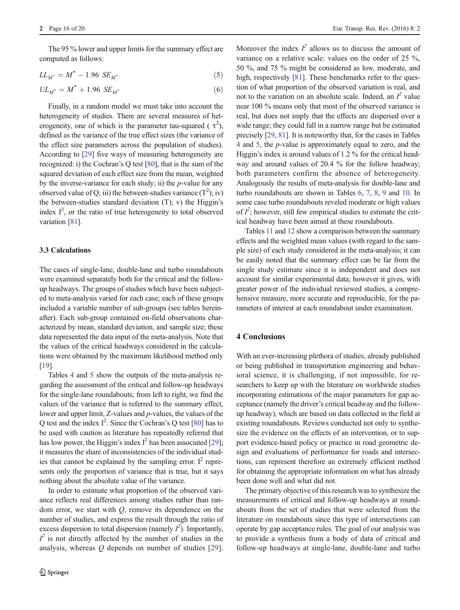The 95 % lower and upper limits for the summary effect are computed as follows:

$$
LL_{M^*} = M^* - 1.96 \, SE_{M^*} \tag{5}
$$

$$
UL_{M^*} = M^* + 1.96 \, \, SE_{M^*} \tag{6}
$$

Finally, in a random model we must take into account the heterogeneity of studies. There are several measures of heterogeneity, one of which is the parameter tau-squared ( $\tau^2$ ), defined as the variance of the true effect sizes (the variance of the effect size parameters across the population of studies). According to [\[29\]](#page-17-0) five ways of measuring heterogeneity are recognized: i) the Cochran's Q test [[80](#page-19-0)], that is the sum of the squared deviation of each effect size from the mean, weighted by the inverse-variance for each study; ii) the  $p$ -value for any observed value of Q; iii) the between-studies variance  $(T^2)$ ; iv) the between-studies standard deviation  $(T)$ ; v) the Higgin's index  $I^2$ , or the ratio of true heterogeneity to total observed variation [\[81\]](#page-19-0).

#### 3.3 Calculations

The cases of single-lane, double-lane and turbo roundabouts were examined separately both for the critical and the followup headways. The groups of studies which have been subjected to meta-analysis varied for each case; each of these groups included a variable number of sub-groups (see tables hereinafter). Each sub-group contained on-field observations characterized by mean, standard deviation, and sample size; these data represented the data input of the meta-analysis. Note that the values of the critical headways considered in the calculations were obtained by the maximum likelihood method only [\[19\]](#page-17-0).

Tables [4](#page-8-0) and [5](#page-9-0) show the outputs of the meta-analysis regarding the assessment of the critical and follow-up headways for the single-lane roundabouts; from left to right, we find the values of the variance that is referred to the summary effect, lower and upper limit, Z-values and p-values, the values of the Q test and the index  $I^2$ . Since the Cochran's Q test [[80\]](#page-19-0) has to be used with caution as literature has repeatedly referred that has low power, the Higgin's index  $I^2$  has been associated [[29](#page-17-0)]; it measures the share of inconsistencies of the individual studies that cannot be explained by the sampling error.  $I^2$  represents only the proportion of variance that is true, but it says nothing about the absolute value of the variance.

In order to estimate what proportion of the observed variance reflects real differences among studies rather than random error, we start with  $Q$ , remove its dependence on the number of studies, and express the result through the ratio of excess dispersion to total dispersion (namely  $I^2$ ). Importantly,  $I^2$  is not directly affected by the number of studies in the analysis, whereas Q depends on number of studies [[29](#page-17-0)].

Moreover the index  $I^2$  allows us to discuss the amount of variance on a relative scale: values on the order of 25 %, 50 %, and 75 % might be considered as low, moderate, and high, respectively [[81\]](#page-19-0). These benchmarks refer to the question of what proportion of the observed variation is real, and not to the variation on an absolute scale. Indeed, an  $I^2$  value near 100 % means only that most of the observed variance is real, but does not imply that the effects are dispersed over a wide range; they could fall in a narrow range but be estimated precisely [\[29,](#page-17-0) [81](#page-19-0)]. It is noteworthy that, for the cases in Tables [4](#page-8-0) and [5](#page-9-0), the p-value is approximately equal to zero, and the Higgin's index is around values of 1.2 % for the critical headway and around values of 20.4 % for the follow headway; both parameters confirm the absence of heterogeneity. Analogously the results of meta-analysis for double-lane and turbo roundabouts are shown in Tables [6,](#page-10-0) [7](#page-11-0), [8,](#page-12-0) [9](#page-13-0) and [10](#page-13-0). In some case turbo roundabouts reveled moderate or high values of  $I^2$ ; however, still few empirical studies to estimate the critical headway have been aimed at these roundabouts.

Tables [11](#page-14-0) and [12](#page-14-0) show a comparison between the summary effects and the weighted mean values (with regard to the sample size) of each study considered in the meta-analysis; it can be easily noted that the summary effect can be far from the single study estimate since it is independent and does not account for similar experimental data; however it gives, with greater power of the individual reviewed studies, a comprehensive measure, more accurate and reproducible, for the parameters of interest at each roundabout under examination.

## 4 Conclusions

With an ever-increasing plethora of studies, already published or being published in transportation engineering and behavioral science, it is challenging, if not impossible, for researchers to keep up with the literature on worldwide studies incorporating estimations of the major parameters for gap acceptance (namely the driver's critical headway and the followup headway), which are based on data collected in the field at existing roundabouts. Reviews conducted not only to synthesize the evidence on the effects of an intervention, or to support evidence-based policy or practice in road geometric design and evaluations of performance for roads and intersections, can represent therefore an extremely efficient method for obtaining the appropriate information on what has already been done well and what did not.

The primary objective of this research was to synthesize the measurements of critical and follow-up headways at roundabouts from the set of studies that were selected from the literature on roundabouts since this type of intersections can operate by gap acceptance rules. The goal of our analysis was to provide a synthesis from a body of data of critical and follow-up headways at single-lane, double-lane and turbo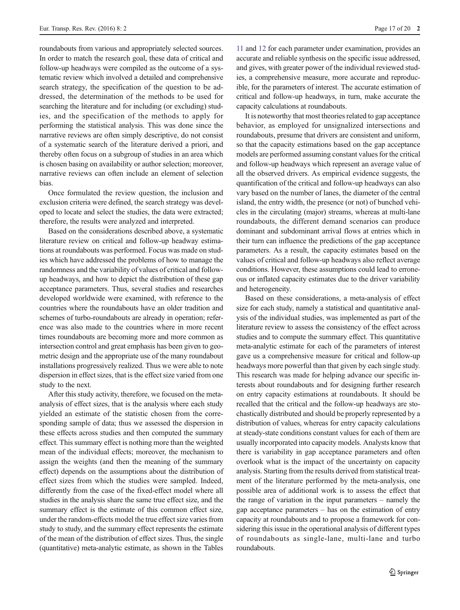roundabouts from various and appropriately selected sources. In order to match the research goal, these data of critical and follow-up headways were compiled as the outcome of a systematic review which involved a detailed and comprehensive search strategy, the specification of the question to be addressed, the determination of the methods to be used for searching the literature and for including (or excluding) studies, and the specification of the methods to apply for performing the statistical analysis. This was done since the narrative reviews are often simply descriptive, do not consist of a systematic search of the literature derived a priori, and thereby often focus on a subgroup of studies in an area which is chosen basing on availability or author selection; moreover, narrative reviews can often include an element of selection bias.

Once formulated the review question, the inclusion and exclusion criteria were defined, the search strategy was developed to locate and select the studies, the data were extracted; therefore, the results were analyzed and interpreted.

Based on the considerations described above, a systematic literature review on critical and follow-up headway estimations at roundabouts was performed. Focus was made on studies which have addressed the problems of how to manage the randomness and the variability of values of critical and followup headways, and how to depict the distribution of these gap acceptance parameters. Thus, several studies and researches developed worldwide were examined, with reference to the countries where the roundabouts have an older tradition and schemes of turbo-roundabouts are already in operation; reference was also made to the countries where in more recent times roundabouts are becoming more and more common as intersection control and great emphasis has been given to geometric design and the appropriate use of the many roundabout installations progressively realized. Thus we were able to note dispersion in effect sizes, that is the effect size varied from one study to the next.

After this study activity, therefore, we focused on the metaanalysis of effect sizes, that is the analysis where each study yielded an estimate of the statistic chosen from the corresponding sample of data; thus we assessed the dispersion in these effects across studies and then computed the summary effect. This summary effect is nothing more than the weighted mean of the individual effects; moreover, the mechanism to assign the weights (and then the meaning of the summary effect) depends on the assumptions about the distribution of effect sizes from which the studies were sampled. Indeed, differently from the case of the fixed-effect model where all studies in the analysis share the same true effect size, and the summary effect is the estimate of this common effect size, under the random-effects model the true effect size varies from study to study, and the summary effect represents the estimate of the mean of the distribution of effect sizes. Thus, the single (quantitative) meta-analytic estimate, as shown in the Tables

[11](#page-14-0) and [12](#page-14-0) for each parameter under examination, provides an accurate and reliable synthesis on the specific issue addressed, and gives, with greater power of the individual reviewed studies, a comprehensive measure, more accurate and reproducible, for the parameters of interest. The accurate estimation of critical and follow-up headways, in turn, make accurate the capacity calculations at roundabouts.

It is noteworthy that most theories related to gap acceptance behavior, as employed for unsignalized intersections and roundabouts, presume that drivers are consistent and uniform, so that the capacity estimations based on the gap acceptance models are performed assuming constant values for the critical and follow-up headways which represent an average value of all the observed drivers. As empirical evidence suggests, the quantification of the critical and follow-up headways can also vary based on the number of lanes, the diameter of the central island, the entry width, the presence (or not) of bunched vehicles in the circulating (major) streams, whereas at multi-lane roundabouts, the different demand scenarios can produce dominant and subdominant arrival flows at entries which in their turn can influence the predictions of the gap acceptance parameters. As a result, the capacity estimates based on the values of critical and follow-up headways also reflect average conditions. However, these assumptions could lead to erroneous or inflated capacity estimates due to the driver variability and heterogeneity.

Based on these considerations, a meta-analysis of effect size for each study, namely a statistical and quantitative analysis of the individual studies, was implemented as part of the literature review to assess the consistency of the effect across studies and to compute the summary effect. This quantitative meta-analytic estimate for each of the parameters of interest gave us a comprehensive measure for critical and follow-up headways more powerful than that given by each single study. This research was made for helping advance our specific interests about roundabouts and for designing further research on entry capacity estimations at roundabouts. It should be recalled that the critical and the follow-up headways are stochastically distributed and should be properly represented by a distribution of values, whereas for entry capacity calculations at steady-state conditions constant values for each of them are usually incorporated into capacity models. Analysts know that there is variability in gap acceptance parameters and often overlook what is the impact of the uncertainty on capacity analysis. Starting from the results derived from statistical treatment of the literature performed by the meta-analysis, one possible area of additional work is to assess the effect that the range of variation in the input parameters – namely the gap acceptance parameters – has on the estimation of entry capacity at roundabouts and to propose a framework for considering this issue in the operational analysis of different types of roundabouts as single-lane, multi-lane and turbo roundabouts.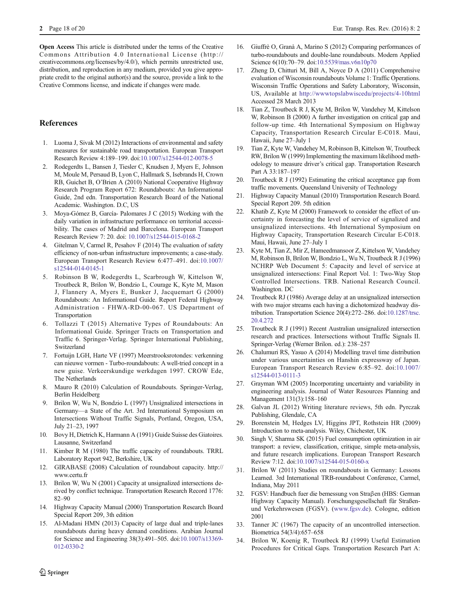<span id="page-17-0"></span>Open Access This article is distributed under the terms of the Creative Commons Attribution 4.0 International License (http:// creativecommons.org/licenses/by/4.0/), which permits unrestricted use, distribution, and reproduction in any medium, provided you give appropriate credit to the original author(s) and the source, provide a link to the Creative Commons license, and indicate if changes were made.

## References

- 1. Luoma J, Sivak M (2012) Interactions of environmental and safety measures for sustainable road transportation. European Transport Research Review 4:189–199. doi[:10.1007/s12544-012-0078-5](http://dx.doi.org/10.1007/s12544-012-0078-5)
- 2. Rodegerdts L, Bansen J, Tiesler C, Knudsen J, Myers E, Johnson M, Moule M, Persaud B, Lyon C, Hallmark S, Isebrands H, Crown RB, Guichet B, O'Brien A (2010) National Cooperative Highway Research Program Report 672: Roundabouts: An Informational Guide, 2nd edn. Transportation Research Board of the National Academic. Washington. D.C, US
- 3. Moya-Gómez B, García- Palomares J C (2015) Working with the daily variation in infrastructure performance on territorial accessibility. The cases of Madrid and Barcelona. European Transport Research Review 7: 20. doi: [10.1007/s12544-015-0168-2](http://dx.doi.org/10.1007/s12544-015-0168-2)
- 4. Gitelman V, Carmel R, Pesahov F (2014) The evaluation of safety efficiency of non-urban infrastructure improvements; a case-study. European Transport Research Review 6:477–491. doi[:10.1007/](http://dx.doi.org/10.1007/s12544-014-0145-1) [s12544-014-0145-1](http://dx.doi.org/10.1007/s12544-014-0145-1)
- 5. Robinson B W, Rodegerdts L, Scarbrough W, Kittelson W, Troutbeck R, Brilon W, Bondzio L, Courage K, Kyte M, Mason J, Flannery A, Myers E, Bunker J, Jacquemart G (2000) Roundabouts: An Informational Guide. Report Federal Highway Administration - FHWA-RD-00-067. US Department of Transportation
- 6. Tollazzi T (2015) Alternative Types of Roundabouts: An Informational Guide. Springer Tracts on Transportation and Traffic 6. Springer-Verlag. Springer International Publishing, Switzerland
- 7. Fortuijn LGH, Harte VF (1997) Meerstrooksrotondes: verkenning can nieuwe vormen - Turbo-roundabouts: A well-tried concept in a new guise. Verkeerskundige werkdagen 1997. CROW Ede, The Netherlands
- 8. Mauro R (2010) Calculation of Roundabouts. Springer-Verlag, Berlin Heidelberg
- 9. Brilon W, Wu N, Bondzio L (1997) Unsignalized intersections in Germany—a State of the Art. 3rd International Symposium on Intersections Without Traffic Signals, Portland, Oregon, USA, July 21–23, 1997
- 10. Bovy H, Dietrich K, Harmann A (1991) Guide Suisse des Giatoires. Lausanne, Switzerland
- 11. Kimber R M (1980) The traffic capacity of roundabouts. TRRL Laboratory Report 942, Berkshire, UK
- 12. GIRABASE (2008) Calculation of roundabout capacity. http:// www.certu.fr
- 13. Brilon W, Wu N (2001) Capacity at unsignalized intersections derived by conflict technique. Transportation Research Record 1776: 82–90
- 14. Highway Capacity Manual (2000) Transportation Research Board Special Report 209, 3th edition
- 15. Al-Madani HMN (2013) Capacity of large dual and triple-lanes roundabouts during heavy demand conditions. Arabian Journal for Science and Engineering 38(3):491–505. doi:[10.1007/s13369-](http://dx.doi.org/10.1007/s13369-012-0330-2) [012-0330-2](http://dx.doi.org/10.1007/s13369-012-0330-2)
- 16. Giuffrè O, Granà A, Marino S (2012) Comparing performances of turbo-roundabouts and double-lane roundabouts. Modern Applied Science 6(10):70–79. doi[:10.5539/mas.v6n10p70](http://dx.doi.org/10.5539/mas.v6n10p70)
- 17. Zheng D, Chitturi M, Bill A, Noyce D A (2011) Comprehensive evaluation of Wisconsin roundabouts Volume 1: Traffic Operations. Wisconsin Traffic Operations and Safety Laboratory, Wisconsin, US, Available at [http://wwwtopslabwiscedu/projects/4-10html](http://www.topslab.wisc.edu/projects/4-10.html) Accessed 28 March 2013
- Tian Z, Troutbeck R J, Kyte M, Brilon W, Vandehey M, Kittelson W, Robinson B (2000) A further investigation on critical gap and follow-up time. 4th International Symposium on Highway Capacity, Transportation Research Circular E-C018. Maui, Hawaii, June 27–July 1
- 19. Tian Z, Kyte W, Vandehey M, Robinson B, Kittelson W, Troutbeck RW, Brilon W (1999) Implementing the maximum likelihood methodology to measure driver's critical gap. Transportation Research Part A 33:187–197
- 20. Troutbeck R J (1992) Estimating the critical acceptance gap from traffic movements. Queensland University of Technology
- 21. Highway Capacity Manual (2010) Transportation Research Board. Special Report 209. 5th edition
- 22. Khatib Z, Kyte M (2000) Framework to consider the effect of uncertainty in forecasting the level of service of signalized and unsignalized intersections. 4th International Symposium on Highway Capacity, Transportation Research Circular E-C018. Maui, Hawaii, June 27–July 1
- 23. Kyte M, Tian Z, Mir Z, Hameedmansoor Z, Kittelson W, Vandehey M, Robinson B, Brilon W, Bondzio L, Wu N, Troutbeck R J (1996) NCHRP Web Document 5: Capacity and level of service at unsignalized intersections: Final Report Vol. 1: Two-Way Stop Controlled Intersections. TRB. National Research Council. Washington. DC
- 24. Troutbeck RJ (1986) Average delay at an unsignalized intersection with two major streams each having a dichotomized headway distribution. Transportation Science 20(4):272–286. doi:[10.1287/trsc.](http://dx.doi.org/10.1287/trsc.20.4.272) [20.4.272](http://dx.doi.org/10.1287/trsc.20.4.272)
- 25. Troutbeck R J (1991) Recent Australian unsignalized intersection research and practices. Intersections without Traffic Signals II. Springer-Verlag (Werner Brilon. ed.): 238–257
- 26. Chalumuri RS, Yasuo A (2014) Modelling travel time distribution under various uncertainties on Hanshin expressway of Japan. European Transport Research Review 6:85–92. doi[:10.1007/](http://dx.doi.org/10.1007/s12544-013-0111-3) [s12544-013-0111-3](http://dx.doi.org/10.1007/s12544-013-0111-3)
- 27. Grayman WM (2005) Incorporating uncertainty and variability in engineering analysis. Journal of Water Resources Planning and Management 131(3):158–160
- 28. Galvan JL (2012) Writing literature reviews, 5th edn. Pyrczak Publishing, Glendale, CA
- 29. Borenstein M, Hedges LV, Higgins JPT, Rothstein HR (2009) Introduction to meta-analysis. Wiley, Chichester, UK
- 30. Singh V, Sharma SK (2015) Fuel consumption optimization in air transport: a review, classification, critique, simple meta-analysis, and future research implications. European Transport Research Review 7:12. doi[:10.1007/s12544-015-0160-x](http://dx.doi.org/10.1007/s12544-015-0160-x)
- 31. Brilon W (2011) Studies on roundabouts in Germany: Lessons Learned. 3rd International TRB-roundabout Conference, Carmel, Indiana, May 2011
- 32. FGSV: Handbuch fuer die bemessung von Straβen (HBS: German Highway Capacity Manual). Forschungsgesellschaft für Straßenund Verkehrswesen (FGSV). ([www.fgsv.de](http://www.fgsv.de/)). Cologne, edition 2001
- 33. Tanner JC (1967) The capacity of an uncontrolled intersection. Biometrica 54(3/4):657–658
- 34. Brilon W, Koenig R, Troutbeck RJ (1999) Useful Estimation Procedures for Critical Gaps. Transportation Research Part A: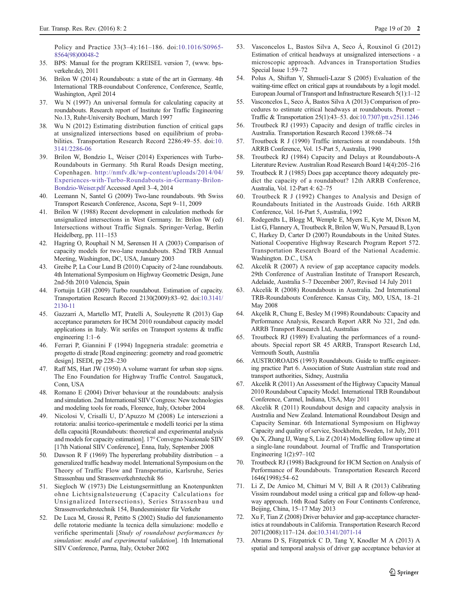- <span id="page-18-0"></span>35. BPS: Manual for the program KREISEL version 7, (www. bpsverkehr.de), 2011
- 36. Brilon W (2014) Roundabouts: a state of the art in Germany. 4th International TRB-roundabout Conference, Conference, Seattle, Washington, April 2014
- 37. Wu N (1997) An universal formula for calculating capacity at roundabouts. Research report of Institute for Traffic Engineering No.13, Ruhr-University Bochum, March 1997
- 38. Wu N (2012) Estimating distribution function of critical gaps at unsignalized intersections based on equilibrium of probabilities. Transportation Research Record 2286:49–55. doi[:10.](http://dx.doi.org/10.3141/2286-06) [3141/2286-06](http://dx.doi.org/10.3141/2286-06)
- 39. Brilon W, Bondzio L, Weiser (2014) Experiences with Turbo-Roundabouts in Germany. 5th Rural Roads Design meeting, Copenhagen. [http://nmfv.dk/wp-content/uploads/2014/04/](http://nmfv.dk/wp-content/uploads/2014/04/Experiences-with-Turbo-Roundabouts-in-Germany-Brilon-Bondzio-Weiser.pdf) [Experiences-with-Turbo-Roundabouts-in-Germany-Brilon-](http://nmfv.dk/wp-content/uploads/2014/04/Experiences-with-Turbo-Roundabouts-in-Germany-Brilon-Bondzio-Weiser.pdf)[Bondzio-Weiser.pdf](http://nmfv.dk/wp-content/uploads/2014/04/Experiences-with-Turbo-Roundabouts-in-Germany-Brilon-Bondzio-Weiser.pdf) Accessed April 3–4, 2014
- 40. Leemann N, Santel G (2009) Two-lane roundabouts. 9th Swiss Transport Research Conference, Ascona, Sept 9–11, 2009
- 41. Brilon W (1988) Recent development in calculation methods for unsignalized intersections in West Germany. In: Brilon W (ed) Intersections without Traffic Signals. Springer-Verlag, Berlin Heidelberg, pp. 111–153
- 42. Hagring O, Rouphail N M, Sørensen H A (2003) Comparison of capacity models for two-lane roundabouts. 82nd TRB Annual Meeting, Washington, DC, USA, January 2003
- 43. Greibe P, La Cour Lund B (2010) Capacity of 2-lane roundabouts. 4th International Symposium on Highway Geometric Design, June 2nd-5th 2010 Valencia, Spain
- 44. Fortuijn LGH (2009) Turbo roundabout. Estimation of capacity. Transportation Research Record 2130(2009):83–92. doi[:10.3141/](http://dx.doi.org/10.3141/2130-11) [2130-11](http://dx.doi.org/10.3141/2130-11)
- 45. Gazzarri A, Martello MT, Pratelli A, Souleyrette R (2013) Gap acceptance parameters for HCM 2010 roundabout capacity model applications in Italy. Wit serifes on Transport systems & traffic engineering 1:1–6
- 46. Ferrari P, Giannini F (1994) Ingegneria stradale: geometria e progetto di strade [Road engineering: geometry and road geometric design]. ISEDI, pp 228–230
- 47. Raff MS, Hart JW (1950) A volume warrant for urban stop signs. The Eno Foundation for Highway Traffic Control. Saugatuck, Conn, USA
- 48. Romano E (2004) Driver behaviour at the roundabouts: analysis and simulation. 2nd International SIIV Congress: New technologies and modeling tools for roads, Florence, Italy, October 2004
- 49. Nicolosi V, Crisalli U, D'Apuzzo M (2008) Le intersezioni a rotatoria: analisi teorico-sperimentale e modelli teorici per la stima della capacità [Roundabouts: theoretical and experimental analysis and models for capacity estimation]. 17° Convegno Nazionale SIIV [17th National SIIV Conference], Enna, Italy, September 2008
- 50. Dawson R F (1969) The hypererlang probability distribution  $-$  a generalized traffic headway model. International Symposium on the Theory of Traffic Flow and Transportatio, Karlsruhe, Series Strassenbau und Strassenverkehrstechik 86
- 51. Siegloch W (1973) Die Leistungsermittlung an Knotenpunkten ohne Lichtsignalsteuerung (Capacity Calculations for Unsignalized Intersections), Series Strassenbau und Strassenverkehrstechnik 154, Bundesminister für Verkehr
- 52. De Luca M, Grossi R, Petitto S (2002) Studio del funzionamento delle rotatorie mediante la tecnica della simulazione: modello e verifiche sperimentali [Study of roundabout performances by simulation: model and experimental validation]. 1th International SIIV Conference, Parma, Italy, October 2002
- 53. Vasconcelos L, Bastos Silva A, Seco Á, Rouxinol G (2012) Estimation of critical headways at unsignalized intersections - a microscopic approach. Advances in Transportation Studies Special Issue 1:59–72
- 54. Polus A, Shiftan Y, Shmueli-Lazar S (2005) Evaluation of the waiting-time effect on critical gaps at roundabouts by a logit model. European Journal of Transport and Infrastructure Research 5(1):1–12
- 55. Vasconcelos L, Seco Á, Bastos Silva A (2013) Comparison of procedures to estimate critical headways at roundabouts. Promet – Traffic & Transportation 25(1):43–53. doi:[10.7307/ptt.v25i1.1246](http://dx.doi.org/10.7307/ptt.v25i1.1246)
- 56. Troutbeck RJ (1993) Capacity and design of traffic circles in Australia. Transportation Research Record 1398:68–74
- 57. Troutbeck R J (1990) Traffic interactions at roundabouts. 15th ARRB Conference, Vol. 15-Part 5, Australia, 1990
- 58. Troutbeck RJ (1984) Capacity and Delays at Roundabouts-A Literature Review. Australian Road Research Board 14(4):205–216
- 59. Troutbeck R J (1985) Does gap acceptance theory adequately predict the capacity of a roundabout? 12th ARRB Conference, Australia, Vol. 12-Part 4: 62–75
- 60. Troutbeck R J (1992) Changes to Analysis and Design of Roundabouts Initiated in the Austroads Guide. 16th ARRB Conference, Vol. 16-Part 5, Australia, 1992
- 61. Rodegerdts L, Blogg M, Wemple E, Myers E, Kyte M, Dixon M, List G, Flannery A, Troutbeck R, Brilon W, Wu N, Persaud B, Lyon C, Harkey D, Carter D (2007) Roundabouts in the United States. National Cooperative Highway Research Program Report 572. Transportation Research Board of the National Academic. Washington. D.C., USA
- 62. Akcelik R (2007) A review of gap acceptance capacity models. 29th Conference of Australian Institute of Transport Research, Adelaide, Australia 5–7 December 2007, Revised 14 July 2011
- 63. Akcelik R (2008) Roundabouts in Australia. 2nd International TRB-Roundabouts Conference. Kansas City, MO, USA, 18–21 May 2008
- 64. Akçelik R, Chung E, Besley M (1998) Roundabouts: Capacity and Performance Analysis, Research Report ARR No 321, 2nd edn. ARRB Transport Research Ltd, Australias
- 65. Troutbeck RJ (1989) Evaluating the performances of a roundabouts. Special report SR 45 ARRB, Transport Research Ltd, Vermouth South, Australia
- 66. AUSTROROADS (1993) Roundabouts. Guide to traffic engineering practice Part 6. Association of State Australian state road and transport authorities, Sidney, Australia
- 67. Akcelik R (2011) An Assessment of the Highway Capacity Manual 2010 Roundabout Capacity Model. International TRB Roundabout Conference, Carmel, Indiana, USA, May 2011
- 68. Akcelik R (2011) Roundabout design and capacity analysis in Australia and New Zealand. International Roundabout Design and Capacity Seminar. 6th International Symposium on Highway Capacity and quality of service, Stockholm, Sweden, 1st July, 2011
- 69. Qu X, Zhang IJ, Wang S, Liu Z (2014) Modelling follow up time at a single-lane roundabout. Journal of Traffic and Transportation Engineering 1(2):97–102
- 70. Troutbeck RJ (1998) Background for HCM Section on Analysis of Performance of Roundabouts. Transportation Research Record 1646(1998):54–62
- 71. Li Z, De Amico M, Chitturi M V, Bill A R (2013) Calibrating Vissim roundabout model using a critical gap and follow-up headway approach. 16th Road Safety on Four Continents Conference, Beijing, China, 15–17 May 2013
- 72. Xu F, Tian Z (2008) Driver behavior and gap-acceptance characteristics at roundabouts in California. Transportation Research Record 2071(2008):117–124. doi[:10.3141/2071-14](http://dx.doi.org/10.3141/2071-14)
- 73. Abrams D S, Fitzpatrick C D, Tang Y, Knodler M A (2013) A spatial and temporal analysis of driver gap acceptance behavior at